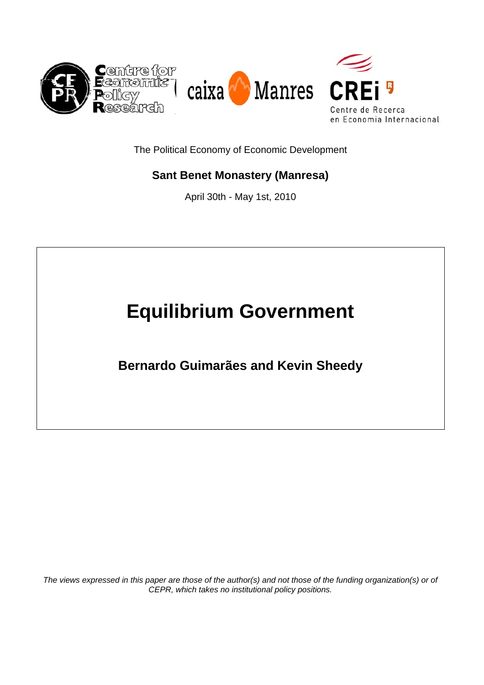

The Political Economy of Economic Development

# **Sant Benet Monastery (Manresa)**

April 30th - May 1st, 2010

# **Equilibrium Government**

**Bernardo Guimarães and Kevin Sheedy** 

*The views expressed in this paper are those of the author(s) and not those of the funding organization(s) or of CEPR, which takes no institutional policy positions.*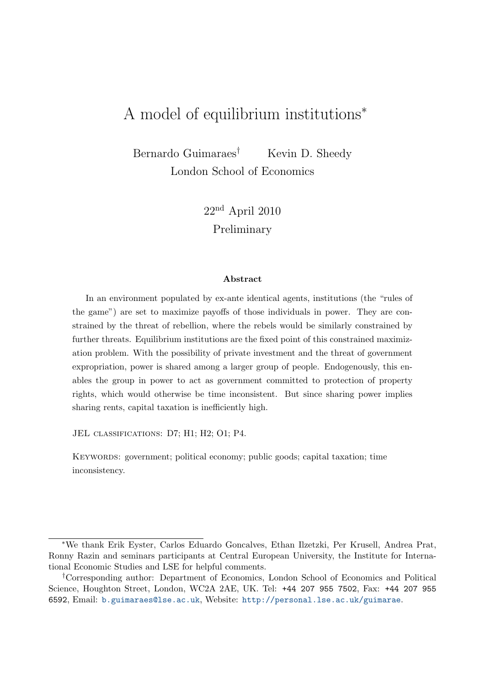# A model of equilibrium institutions<sup>∗</sup>

Bernardo Guimaraes<sup>†</sup> Kevin D. Sheedy London School of Economics

> 22nd April 2010 Preliminary

#### Abstract

In an environment populated by ex-ante identical agents, institutions (the "rules of the game") are set to maximize payoffs of those individuals in power. They are constrained by the threat of rebellion, where the rebels would be similarly constrained by further threats. Equilibrium institutions are the fixed point of this constrained maximization problem. With the possibility of private investment and the threat of government expropriation, power is shared among a larger group of people. Endogenously, this enables the group in power to act as government committed to protection of property rights, which would otherwise be time inconsistent. But since sharing power implies sharing rents, capital taxation is inefficiently high.

JEL CLASSIFICATIONS: D7: H1: H2: O1: P4.

Keywords: government; political economy; public goods; capital taxation; time inconsistency.

<sup>∗</sup>We thank Erik Eyster, Carlos Eduardo Goncalves, Ethan Ilzetzki, Per Krusell, Andrea Prat, Ronny Razin and seminars participants at Central European University, the Institute for International Economic Studies and LSE for helpful comments.

<sup>†</sup>Corresponding author: Department of Economics, London School of Economics and Political Science, Houghton Street, London, WC2A 2AE, UK. Tel: +44 207 955 7502, Fax: +44 207 955 6592, Email: [b.guimaraes@lse.ac.uk](mailto:b.guimaraes@lse.ac.uk), Website: <http://personal.lse.ac.uk/guimarae>.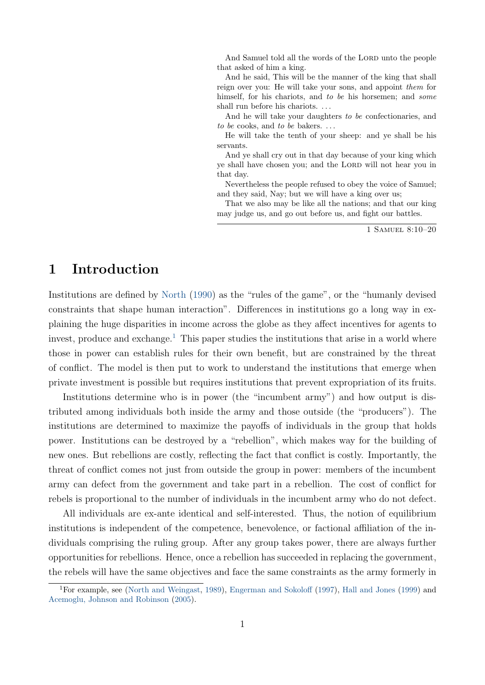<span id="page-2-1"></span>And Samuel told all the words of the LORD unto the people that asked of him a king.

And he said, This will be the manner of the king that shall reign over you: He will take your sons, and appoint them for himself, for his chariots, and to be his horsemen; and some shall run before his chariots. . . .

And he will take your daughters to be confectionaries, and to be cooks, and to be bakers.  $\dots$ 

He will take the tenth of your sheep: and ye shall be his servants.

And ye shall cry out in that day because of your king which ye shall have chosen you; and the LORD will not hear you in that day.

Nevertheless the people refused to obey the voice of Samuel; and they said, Nay; but we will have a king over us;

That we also may be like all the nations; and that our king may judge us, and go out before us, and fight our battles.

1 Samuel 8:10–20

# 1 Introduction

Institutions are defined by [North](#page-31-0) [\(1990\)](#page-31-0) as the "rules of the game", or the "humanly devised constraints that shape human interaction". Differences in institutions go a long way in explaining the huge disparities in income across the globe as they affect incentives for agents to invest, produce and exchange.<sup>[1](#page-2-0)</sup> This paper studies the institutions that arise in a world where those in power can establish rules for their own benefit, but are constrained by the threat of conflict. The model is then put to work to understand the institutions that emerge when private investment is possible but requires institutions that prevent expropriation of its fruits.

Institutions determine who is in power (the "incumbent army") and how output is distributed among individuals both inside the army and those outside (the "producers"). The institutions are determined to maximize the payoffs of individuals in the group that holds power. Institutions can be destroyed by a "rebellion", which makes way for the building of new ones. But rebellions are costly, reflecting the fact that conflict is costly. Importantly, the threat of conflict comes not just from outside the group in power: members of the incumbent army can defect from the government and take part in a rebellion. The cost of conflict for rebels is proportional to the number of individuals in the incumbent army who do not defect.

All individuals are ex-ante identical and self-interested. Thus, the notion of equilibrium institutions is independent of the competence, benevolence, or factional affiliation of the individuals comprising the ruling group. After any group takes power, there are always further opportunities for rebellions. Hence, once a rebellion has succeeded in replacing the government, the rebels will have the same objectives and face the same constraints as the army formerly in

<span id="page-2-0"></span><sup>1</sup>For example, see [\(North and Weingast,](#page-31-1) [1989\)](#page-31-1), [Engerman and Sokoloff](#page-29-0) [\(1997\)](#page-29-0), [Hall and Jones](#page-30-0) [\(1999\)](#page-30-0) and [Acemoglu, Johnson and Robinson](#page-29-1) [\(2005\)](#page-29-1).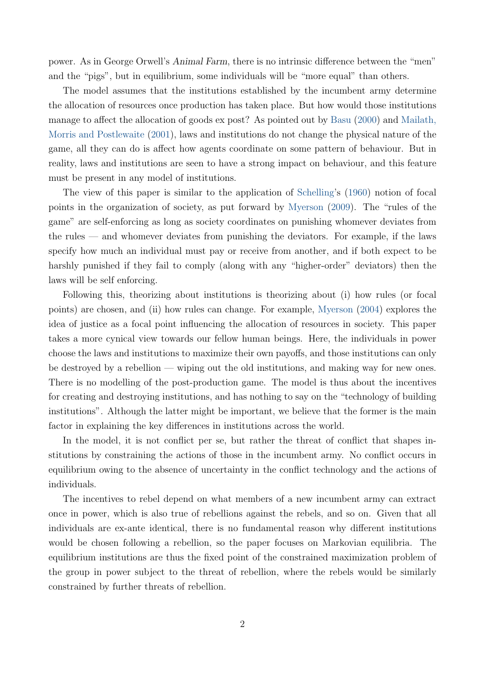<span id="page-3-0"></span>power. As in George Orwell's Animal Farm, there is no intrinsic difference between the "men" and the "pigs", but in equilibrium, some individuals will be "more equal" than others.

The model assumes that the institutions established by the incumbent army determine the allocation of resources once production has taken place. But how would those institutions manage to affect the allocation of goods ex post? As pointed out by [Basu](#page-29-2) [\(2000\)](#page-29-2) and [Mailath,](#page-30-1) [Morris and Postlewaite](#page-30-1) [\(2001\)](#page-30-1), laws and institutions do not change the physical nature of the game, all they can do is affect how agents coordinate on some pattern of behaviour. But in reality, laws and institutions are seen to have a strong impact on behaviour, and this feature must be present in any model of institutions.

The view of this paper is similar to the application of [Schelling'](#page-31-2)s [\(1960\)](#page-31-2) notion of focal points in the organization of society, as put forward by [Myerson](#page-30-2) [\(2009\)](#page-30-2). The "rules of the game" are self-enforcing as long as society coordinates on punishing whomever deviates from the rules — and whomever deviates from punishing the deviators. For example, if the laws specify how much an individual must pay or receive from another, and if both expect to be harshly punished if they fail to comply (along with any "higher-order" deviators) then the laws will be self enforcing.

Following this, theorizing about institutions is theorizing about (i) how rules (or focal points) are chosen, and (ii) how rules can change. For example, [Myerson](#page-30-3) [\(2004\)](#page-30-3) explores the idea of justice as a focal point influencing the allocation of resources in society. This paper takes a more cynical view towards our fellow human beings. Here, the individuals in power choose the laws and institutions to maximize their own payoffs, and those institutions can only be destroyed by a rebellion — wiping out the old institutions, and making way for new ones. There is no modelling of the post-production game. The model is thus about the incentives for creating and destroying institutions, and has nothing to say on the "technology of building institutions". Although the latter might be important, we believe that the former is the main factor in explaining the key differences in institutions across the world.

In the model, it is not conflict per se, but rather the threat of conflict that shapes institutions by constraining the actions of those in the incumbent army. No conflict occurs in equilibrium owing to the absence of uncertainty in the conflict technology and the actions of individuals.

The incentives to rebel depend on what members of a new incumbent army can extract once in power, which is also true of rebellions against the rebels, and so on. Given that all individuals are ex-ante identical, there is no fundamental reason why different institutions would be chosen following a rebellion, so the paper focuses on Markovian equilibria. The equilibrium institutions are thus the fixed point of the constrained maximization problem of the group in power subject to the threat of rebellion, where the rebels would be similarly constrained by further threats of rebellion.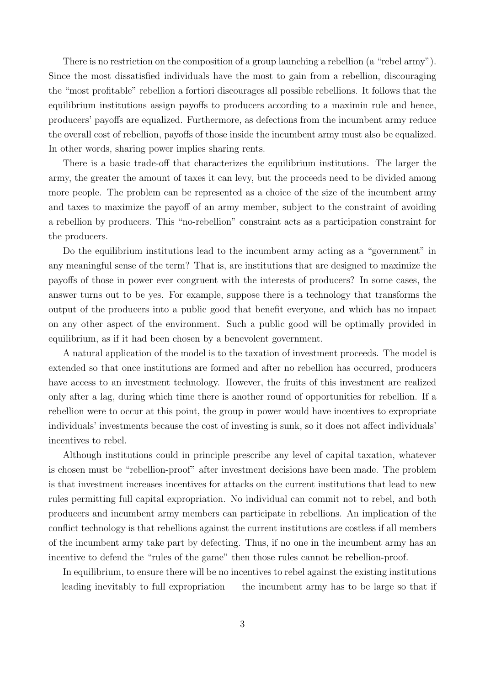There is no restriction on the composition of a group launching a rebellion (a "rebel army"). Since the most dissatisfied individuals have the most to gain from a rebellion, discouraging the "most profitable" rebellion a fortiori discourages all possible rebellions. It follows that the equilibrium institutions assign payoffs to producers according to a maximin rule and hence, producers' payoffs are equalized. Furthermore, as defections from the incumbent army reduce the overall cost of rebellion, payoffs of those inside the incumbent army must also be equalized. In other words, sharing power implies sharing rents.

There is a basic trade-off that characterizes the equilibrium institutions. The larger the army, the greater the amount of taxes it can levy, but the proceeds need to be divided among more people. The problem can be represented as a choice of the size of the incumbent army and taxes to maximize the payoff of an army member, subject to the constraint of avoiding a rebellion by producers. This "no-rebellion" constraint acts as a participation constraint for the producers.

Do the equilibrium institutions lead to the incumbent army acting as a "government" in any meaningful sense of the term? That is, are institutions that are designed to maximize the payoffs of those in power ever congruent with the interests of producers? In some cases, the answer turns out to be yes. For example, suppose there is a technology that transforms the output of the producers into a public good that benefit everyone, and which has no impact on any other aspect of the environment. Such a public good will be optimally provided in equilibrium, as if it had been chosen by a benevolent government.

A natural application of the model is to the taxation of investment proceeds. The model is extended so that once institutions are formed and after no rebellion has occurred, producers have access to an investment technology. However, the fruits of this investment are realized only after a lag, during which time there is another round of opportunities for rebellion. If a rebellion were to occur at this point, the group in power would have incentives to expropriate individuals' investments because the cost of investing is sunk, so it does not affect individuals' incentives to rebel.

Although institutions could in principle prescribe any level of capital taxation, whatever is chosen must be "rebellion-proof" after investment decisions have been made. The problem is that investment increases incentives for attacks on the current institutions that lead to new rules permitting full capital expropriation. No individual can commit not to rebel, and both producers and incumbent army members can participate in rebellions. An implication of the conflict technology is that rebellions against the current institutions are costless if all members of the incumbent army take part by defecting. Thus, if no one in the incumbent army has an incentive to defend the "rules of the game" then those rules cannot be rebellion-proof.

In equilibrium, to ensure there will be no incentives to rebel against the existing institutions — leading inevitably to full expropriation — the incumbent army has to be large so that if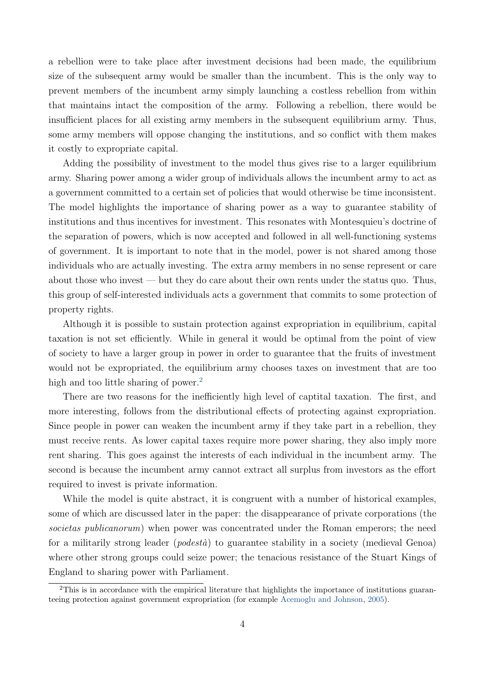<span id="page-5-1"></span>a rebellion were to take place after investment decisions had been made, the equilibrium size of the subsequent army would be smaller than the incumbent. This is the only way to prevent members of the incumbent army simply launching a costless rebellion from within that maintains intact the composition of the army. Following a rebellion, there would be insufficient places for all existing army members in the subsequent equilibrium army. Thus, some army members will oppose changing the institutions, and so conflict with them makes it costly to expropriate capital.

Adding the possibility of investment to the model thus gives rise to a larger equilibrium army. Sharing power among a wider group of individuals allows the incumbent army to act as a government committed to a certain set of policies that would otherwise be time inconsistent. The model highlights the importance of sharing power as a way to guarantee stability of institutions and thus incentives for investment. This resonates with Montesquieu's doctrine of the separation of powers, which is now accepted and followed in all well-functioning systems of government. It is important to note that in the model, power is not shared among those individuals who are actually investing. The extra army members in no sense represent or care about those who invest — but they do care about their own rents under the status quo. Thus, this group of self-interested individuals acts a government that commits to some protection of property rights.

Although it is possible to sustain protection against expropriation in equilibrium, capital taxation is not set efficiently. While in general it would be optimal from the point of view of society to have a larger group in power in order to guarantee that the fruits of investment would not be expropriated, the equilibrium army chooses taxes on investment that are too high and too little sharing of power.<sup>[2](#page-5-0)</sup>

There are two reasons for the inefficiently high level of captital taxation. The first, and more interesting, follows from the distributional effects of protecting against expropriation. Since people in power can weaken the incumbent army if they take part in a rebellion, they must receive rents. As lower capital taxes require more power sharing, they also imply more rent sharing. This goes against the interests of each individual in the incumbent army. The second is because the incumbent army cannot extract all surplus from investors as the effort required to invest is private information.

While the model is quite abstract, it is congruent with a number of historical examples, some of which are discussed later in the paper: the disappearance of private corporations (the societas publicanorum) when power was concentrated under the Roman emperors; the need for a militarily strong leader (*podestà*) to guarantee stability in a society (medieval Genoa) where other strong groups could seize power; the tenacious resistance of the Stuart Kings of England to sharing power with Parliament.

<span id="page-5-0"></span> $2$ This is in accordance with the empirical literature that highlights the importance of institutions guaranteeing protection against government expropriation (for example [Acemoglu and Johnson,](#page-29-3) [2005\)](#page-29-3).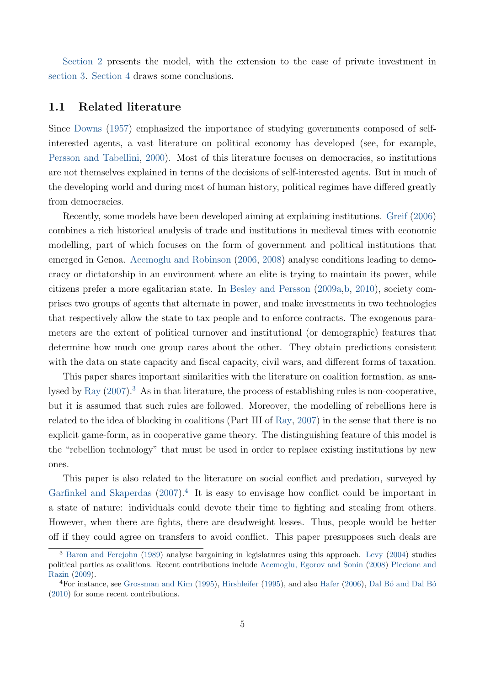<span id="page-6-2"></span>[Section 2](#page-7-0) presents the model, with the extension to the case of private investment in [section 3.](#page-18-0) [Section 4](#page-28-0) draws some conclusions.

#### 1.1 Related literature

Since [Downs](#page-29-4) [\(1957\)](#page-29-4) emphasized the importance of studying governments composed of selfinterested agents, a vast literature on political economy has developed (see, for example, [Persson and Tabellini,](#page-31-3) [2000\)](#page-31-3). Most of this literature focuses on democracies, so institutions are not themselves explained in terms of the decisions of self-interested agents. But in much of the developing world and during most of human history, political regimes have differed greatly from democracies.

Recently, some models have been developed aiming at explaining institutions. [Greif](#page-30-4) [\(2006\)](#page-30-4) combines a rich historical analysis of trade and institutions in medieval times with economic modelling, part of which focuses on the form of government and political institutions that emerged in Genoa. [Acemoglu and Robinson](#page-29-5) [\(2006,](#page-29-5) [2008\)](#page-29-6) analyse conditions leading to democracy or dictatorship in an environment where an elite is trying to maintain its power, while citizens prefer a more egalitarian state. In [Besley and Persson](#page-29-7) [\(2009a,](#page-29-7)[b,](#page-29-8) [2010\)](#page-29-9), society comprises two groups of agents that alternate in power, and make investments in two technologies that respectively allow the state to tax people and to enforce contracts. The exogenous parameters are the extent of political turnover and institutional (or demographic) features that determine how much one group cares about the other. They obtain predictions consistent with the data on state capacity and fiscal capacity, civil wars, and different forms of taxation.

This paper shares important similarities with the literature on coalition formation, as ana-lysed by [Ray](#page-31-4)  $(2007)^3$  $(2007)^3$  $(2007)^3$ . As in that literature, the process of establishing rules is non-cooperative, but it is assumed that such rules are followed. Moreover, the modelling of rebellions here is related to the idea of blocking in coalitions (Part III of [Ray,](#page-31-4) [2007\)](#page-31-4) in the sense that there is no explicit game-form, as in cooperative game theory. The distinguishing feature of this model is the "rebellion technology" that must be used in order to replace existing institutions by new ones.

This paper is also related to the literature on social conflict and predation, surveyed by [Garfinkel and Skaperdas](#page-29-10)  $(2007)^4$  $(2007)^4$  $(2007)^4$  It is easy to envisage how conflict could be important in a state of nature: individuals could devote their time to fighting and stealing from others. However, when there are fights, there are deadweight losses. Thus, people would be better off if they could agree on transfers to avoid conflict. This paper presupposes such deals are

<span id="page-6-0"></span><sup>3</sup> [Baron and Ferejohn](#page-29-11) [\(1989\)](#page-29-11) analyse bargaining in legislatures using this approach. [Levy](#page-30-5) [\(2004\)](#page-30-5) studies political parties as coalitions. Recent contributions include [Acemoglu, Egorov and Sonin](#page-28-1) [\(2008\)](#page-28-1) [Piccione and](#page-31-5) [Razin](#page-31-5) [\(2009\)](#page-31-5).

<span id="page-6-1"></span> $4$ For instance, see [Grossman and Kim](#page-30-6) [\(1995\)](#page-30-7), [Hirshleifer](#page-30-7) (1995), and also [Hafer](#page-30-8) [\(2006\)](#page-30-8), Dal Bó and Dal Bó [\(2010\)](#page-29-12) for some recent contributions.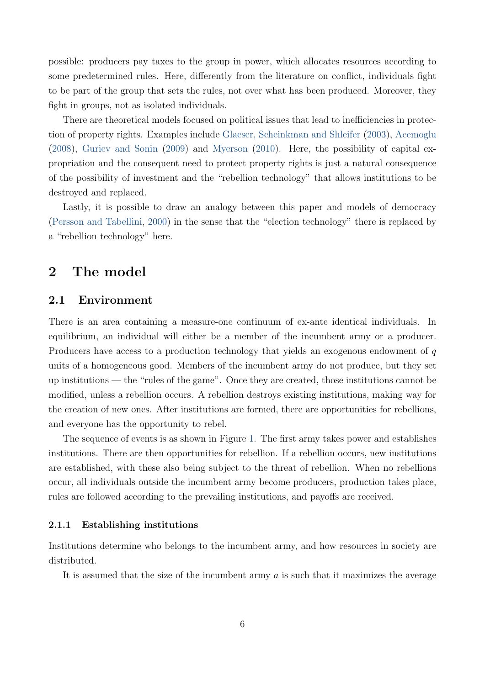<span id="page-7-1"></span>possible: producers pay taxes to the group in power, which allocates resources according to some predetermined rules. Here, differently from the literature on conflict, individuals fight to be part of the group that sets the rules, not over what has been produced. Moreover, they fight in groups, not as isolated individuals.

There are theoretical models focused on political issues that lead to inefficiencies in protection of property rights. Examples include [Glaeser, Scheinkman and Shleifer](#page-30-9) [\(2003\)](#page-30-9), [Acemoglu](#page-28-2) [\(2008\)](#page-28-2), [Guriev and Sonin](#page-30-10) [\(2009\)](#page-30-10) and [Myerson](#page-31-6) [\(2010\)](#page-31-6). Here, the possibility of capital expropriation and the consequent need to protect property rights is just a natural consequence of the possibility of investment and the "rebellion technology" that allows institutions to be destroyed and replaced.

Lastly, it is possible to draw an analogy between this paper and models of democracy [\(Persson and Tabellini,](#page-31-3) [2000\)](#page-31-3) in the sense that the "election technology" there is replaced by a "rebellion technology" here.

# <span id="page-7-0"></span>2 The model

### 2.1 Environment

There is an area containing a measure-one continuum of ex-ante identical individuals. In equilibrium, an individual will either be a member of the incumbent army or a producer. Producers have access to a production technology that yields an exogenous endowment of q units of a homogeneous good. Members of the incumbent army do not produce, but they set up institutions — the "rules of the game". Once they are created, those institutions cannot be modified, unless a rebellion occurs. A rebellion destroys existing institutions, making way for the creation of new ones. After institutions are formed, there are opportunities for rebellions, and everyone has the opportunity to rebel.

The sequence of events is as shown in Figure [1.](#page-8-0) The first army takes power and establishes institutions. There are then opportunities for rebellion. If a rebellion occurs, new institutions are established, with these also being subject to the threat of rebellion. When no rebellions occur, all individuals outside the incumbent army become producers, production takes place, rules are followed according to the prevailing institutions, and payoffs are received.

#### 2.1.1 Establishing institutions

Institutions determine who belongs to the incumbent army, and how resources in society are distributed.

It is assumed that the size of the incumbent army  $a$  is such that it maximizes the average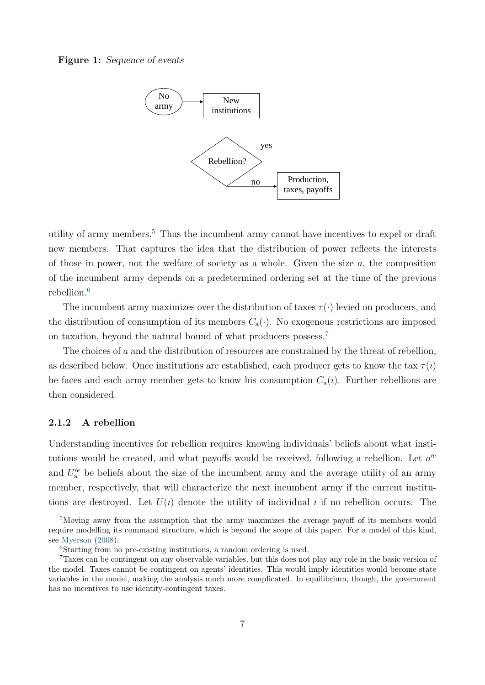#### <span id="page-8-4"></span><span id="page-8-0"></span>Figure 1: Sequence of events



utility of army members.[5](#page-8-1) Thus the incumbent army cannot have incentives to expel or draft new members. That captures the idea that the distribution of power reflects the interests of those in power, not the welfare of society as a whole. Given the size a, the composition of the incumbent army depends on a predetermined ordering set at the time of the previous rebellion.[6](#page-8-2)

The incumbent army maximizes over the distribution of taxes  $\tau(\cdot)$  levied on producers, and the distribution of consumption of its members  $C_a(\cdot)$ . No exogenous restrictions are imposed on taxation, beyond the natural bound of what producers possess.[7](#page-8-3)

The choices of a and the distribution of resources are constrained by the threat of rebellion, as described below. Once institutions are established, each producer gets to know the tax  $\tau(i)$ he faces and each army member gets to know his consumption  $C_a(i)$ . Further rebellions are then considered.

#### 2.1.2 A rebellion

Understanding incentives for rebellion requires knowing individuals' beliefs about what institutions would be created, and what payoffs would be received, following a rebellion. Let  $a^{\prime e}$ and  $U'^e$  be beliefs about the size of the incumbent army and the average utility of an army member, respectively, that will characterize the next incumbent army if the current institutions are destroyed. Let  $U(i)$  denote the utility of individual *i* if no rebellion occurs. The

<span id="page-8-1"></span><sup>5</sup>Moving away from the assumption that the army maximizes the average payoff of its members would require modelling its command structure, which is beyond the scope of this paper. For a model of this kind, see [Myerson](#page-30-11) [\(2008\)](#page-30-11).

<span id="page-8-3"></span><span id="page-8-2"></span><sup>6</sup>Starting from no pre-existing institutions, a random ordering is used.

<sup>7</sup>Taxes can be contingent on any observable variables, but this does not play any role in the basic version of the model. Taxes cannot be contingent on agents' identities. This would imply identities would become state variables in the model, making the analysis much more complicated. In equilibrium, though, the government has no incentives to use identity-contingent taxes.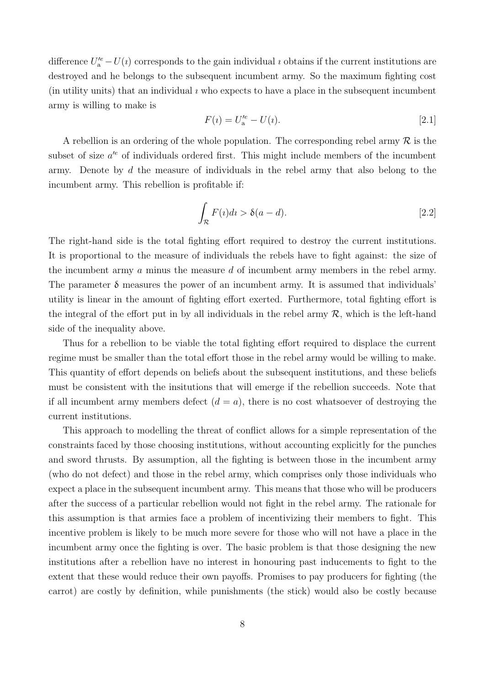difference  $U_a^{\prime e} - U(a)$  corresponds to the gain individual *i* obtains if the current institutions are destroyed and he belongs to the subsequent incumbent army. So the maximum fighting cost (in utility units) that an individual  $\imath$  who expects to have a place in the subsequent incumbent army is willing to make is

$$
F(i) = U_a^{\prime e} - U(i). \tag{2.1}
$$

A rebellion is an ordering of the whole population. The corresponding rebel army  $\mathcal R$  is the subset of size  $a^{\prime e}$  of individuals ordered first. This might include members of the incumbent army. Denote by d the measure of individuals in the rebel army that also belong to the incumbent army. This rebellion is profitable if:

<span id="page-9-0"></span>
$$
\int_{\mathcal{R}} F(i)dt > \delta(a-d). \tag{2.2}
$$

The right-hand side is the total fighting effort required to destroy the current institutions. It is proportional to the measure of individuals the rebels have to fight against: the size of the incumbent army a minus the measure d of incumbent army members in the rebel army. The parameter  $\delta$  measures the power of an incumbent army. It is assumed that individuals' utility is linear in the amount of fighting effort exerted. Furthermore, total fighting effort is the integral of the effort put in by all individuals in the rebel army  $\mathcal{R}$ , which is the left-hand side of the inequality above.

Thus for a rebellion to be viable the total fighting effort required to displace the current regime must be smaller than the total effort those in the rebel army would be willing to make. This quantity of effort depends on beliefs about the subsequent institutions, and these beliefs must be consistent with the insitutions that will emerge if the rebellion succeeds. Note that if all incumbent army members defect  $(d = a)$ , there is no cost whatsoever of destroying the current institutions.

This approach to modelling the threat of conflict allows for a simple representation of the constraints faced by those choosing institutions, without accounting explicitly for the punches and sword thrusts. By assumption, all the fighting is between those in the incumbent army (who do not defect) and those in the rebel army, which comprises only those individuals who expect a place in the subsequent incumbent army. This means that those who will be producers after the success of a particular rebellion would not fight in the rebel army. The rationale for this assumption is that armies face a problem of incentivizing their members to fight. This incentive problem is likely to be much more severe for those who will not have a place in the incumbent army once the fighting is over. The basic problem is that those designing the new institutions after a rebellion have no interest in honouring past inducements to fight to the extent that these would reduce their own payoffs. Promises to pay producers for fighting (the carrot) are costly by definition, while punishments (the stick) would also be costly because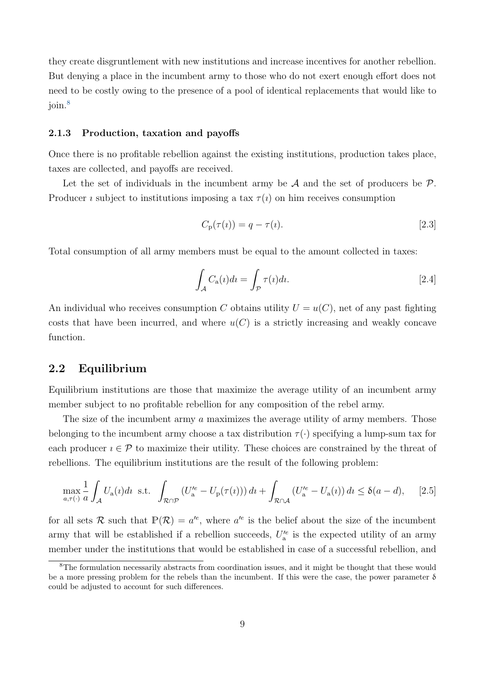they create disgruntlement with new institutions and increase incentives for another rebellion. But denying a place in the incumbent army to those who do not exert enough effort does not need to be costly owing to the presence of a pool of identical replacements that would like to join.[8](#page-10-0)

#### 2.1.3 Production, taxation and payoffs

Once there is no profitable rebellion against the existing institutions, production takes place, taxes are collected, and payoffs are received.

Let the set of individuals in the incumbent army be  $A$  and the set of producers be  $P$ . Producer *i* subject to institutions imposing a tax  $\tau(i)$  on him receives consumption

$$
C_{\mathbf{p}}(\tau(i)) = q - \tau(i). \tag{2.3}
$$

Total consumption of all army members must be equal to the amount collected in taxes:

<span id="page-10-1"></span>
$$
\int_{A} C_{a}(i)di = \int_{\mathcal{P}} \tau(i)di.
$$
\n<sup>[2.4]</sup>

An individual who receives consumption C obtains utility  $U = u(C)$ , net of any past fighting costs that have been incurred, and where  $u(C)$  is a strictly increasing and weakly concave function.

### 2.2 Equilibrium

Equilibrium institutions are those that maximize the average utility of an incumbent army member subject to no profitable rebellion for any composition of the rebel army.

The size of the incumbent army a maximizes the average utility of army members. Those belonging to the incumbent army choose a tax distribution  $\tau(\cdot)$  specifying a lump-sum tax for each producer  $i \in \mathcal{P}$  to maximize their utility. These choices are constrained by the threat of rebellions. The equilibrium institutions are the result of the following problem:

$$
\max_{a,\tau(\cdot)} \frac{1}{a} \int_{\mathcal{A}} U_{\mathbf{a}}(\iota) d\iota \text{ s.t. } \int_{\mathcal{R} \cap \mathcal{P}} \left( U_{\mathbf{a}}'^e - U_{\mathbf{p}}(\tau(\iota)) \right) d\iota + \int_{\mathcal{R} \cap \mathcal{A}} \left( U_{\mathbf{a}}'^e - U_{\mathbf{a}}(\iota) \right) d\iota \le \delta(a-d), \quad [2.5]
$$

for all sets R such that  $\mathbb{P}(\mathcal{R}) = a^{e}$ , where  $a^{e}$  is the belief about the size of the incumbent army that will be established if a rebellion succeeds,  $U_a^{\prime e}$  is the expected utility of an army member under the institutions that would be established in case of a successful rebellion, and

<span id="page-10-0"></span><sup>8</sup>The formulation necessarily abstracts from coordination issues, and it might be thought that these would be a more pressing problem for the rebels than the incumbent. If this were the case, the power parameter  $\delta$ could be adjusted to account for such differences.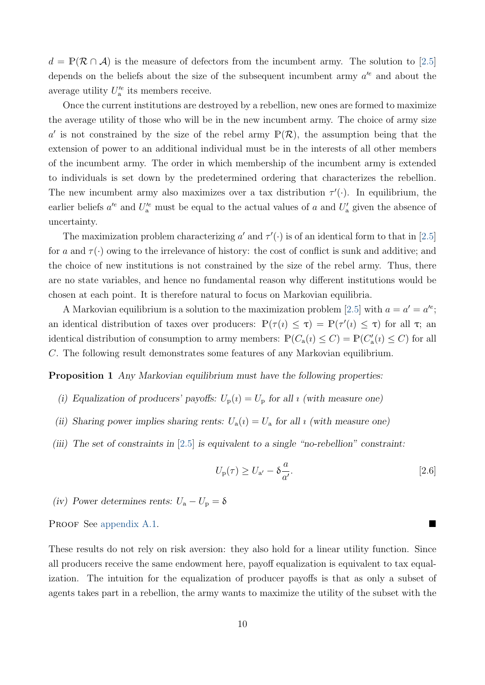$d = \mathbb{P}(\mathcal{R} \cap \mathcal{A})$  is the measure of defectors from the incumbent army. The solution to [\[2.5\]](#page-10-1) depends on the beliefs about the size of the subsequent incumbent army  $a^{\prime e}$  and about the average utility  $U'^e_{\rm a}$  its members receive.

Once the current institutions are destroyed by a rebellion, new ones are formed to maximize the average utility of those who will be in the new incumbent army. The choice of army size a' is not constrained by the size of the rebel army  $\mathbb{P}(\mathcal{R})$ , the assumption being that the extension of power to an additional individual must be in the interests of all other members of the incumbent army. The order in which membership of the incumbent army is extended to individuals is set down by the predetermined ordering that characterizes the rebellion. The new incumbent army also maximizes over a tax distribution  $\tau'(\cdot)$ . In equilibrium, the earlier beliefs  $a^{\prime e}$  and  $U_{a}^{\prime e}$  must be equal to the actual values of a and  $U_{a}^{\prime}$  given the absence of uncertainty.

The maximization problem characterizing a' and  $\tau'(\cdot)$  is of an identical form to that in [\[2.5\]](#page-10-1) for a and  $\tau(\cdot)$  owing to the irrelevance of history: the cost of conflict is sunk and additive; and the choice of new institutions is not constrained by the size of the rebel army. Thus, there are no state variables, and hence no fundamental reason why different institutions would be chosen at each point. It is therefore natural to focus on Markovian equilibria.

A Markovian equilibrium is a solution to the maximization problem [\[2.5\]](#page-10-1) with  $a = a' = a'^e$ ; an identical distribution of taxes over producers:  $\mathbb{P}(\tau(i) \leq \tau) = \mathbb{P}(\tau'(i) \leq \tau)$  for all  $\tau$ ; and identical distribution of consumption to army members:  $\mathbb{P}(C_a(i) \leq C) = \mathbb{P}(C'_a(i) \leq C)$  for all C. The following result demonstrates some features of any Markovian equilibrium.

Proposition 1 Any Markovian equilibrium must have the following properties:

- (i) Equalization of producers' payoffs:  $U_p(i) = U_p$  for all *i* (with measure one)
- (ii) Sharing power implies sharing rents:  $U_a(i) = U_a$  for all *i* (with measure one)
- (iii) The set of constraints in  $[2.5]$  is equivalent to a single "no-rebellion" constraint:

<span id="page-11-0"></span>
$$
U_{\rm p}(\tau) \ge U_{\rm a'} - \delta \frac{a}{a'}.\tag{2.6}
$$

(iv) Power determines rents:  $U_a - U_p = \delta$ 

PROOF See [appendix A.1.](#page-31-7)

These results do not rely on risk aversion: they also hold for a linear utility function. Since all producers receive the same endowment here, payoff equalization is equivalent to tax equalization. The intuition for the equalization of producer payoffs is that as only a subset of agents takes part in a rebellion, the army wants to maximize the utility of the subset with the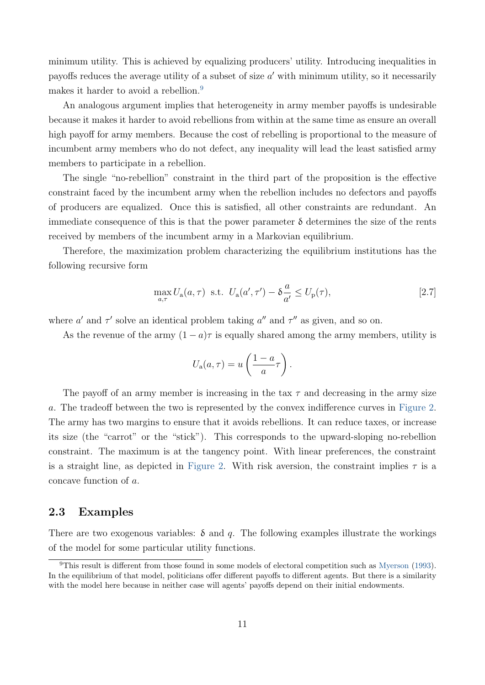<span id="page-12-1"></span>minimum utility. This is achieved by equalizing producers' utility. Introducing inequalities in payoffs reduces the average utility of a subset of size  $a'$  with minimum utility, so it necessarily makes it harder to avoid a rebellion.<sup>[9](#page-12-0)</sup>

An analogous argument implies that heterogeneity in army member payoffs is undesirable because it makes it harder to avoid rebellions from within at the same time as ensure an overall high payoff for army members. Because the cost of rebelling is proportional to the measure of incumbent army members who do not defect, any inequality will lead the least satisfied army members to participate in a rebellion.

The single "no-rebellion" constraint in the third part of the proposition is the effective constraint faced by the incumbent army when the rebellion includes no defectors and payoffs of producers are equalized. Once this is satisfied, all other constraints are redundant. An immediate consequence of this is that the power parameter  $\delta$  determines the size of the rents received by members of the incumbent army in a Markovian equilibrium.

Therefore, the maximization problem characterizing the equilibrium institutions has the following recursive form

$$
\max_{a,\tau} U_a(a,\tau) \text{ s.t. } U_a(a',\tau') - \delta \frac{a}{a'} \le U_p(\tau),\tag{2.7}
$$

where a' and  $\tau'$  solve an identical problem taking a'' and  $\tau''$  as given, and so on.

As the revenue of the army  $(1 - a)\tau$  is equally shared among the army members, utility is

$$
U_{\rm a}(a,\tau) = u\left(\frac{1-a}{a}\tau\right).
$$

The payoff of an army member is increasing in the tax  $\tau$  and decreasing in the army size a. The tradeoff between the two is represented by the convex indifference curves in [Figure 2.](#page-13-0) The army has two margins to ensure that it avoids rebellions. It can reduce taxes, or increase its size (the "carrot" or the "stick"). This corresponds to the upward-sloping no-rebellion constraint. The maximum is at the tangency point. With linear preferences, the constraint is a straight line, as depicted in [Figure 2.](#page-13-0) With risk aversion, the constraint implies  $\tau$  is a concave function of a.

### 2.3 Examples

There are two exogenous variables:  $\delta$  and q. The following examples illustrate the workings of the model for some particular utility functions.

<span id="page-12-0"></span><sup>9</sup>This result is different from those found in some models of electoral competition such as [Myerson](#page-30-12) [\(1993\)](#page-30-12). In the equilibrium of that model, politicians offer different payoffs to different agents. But there is a similarity with the model here because in neither case will agents' payoffs depend on their initial endowments.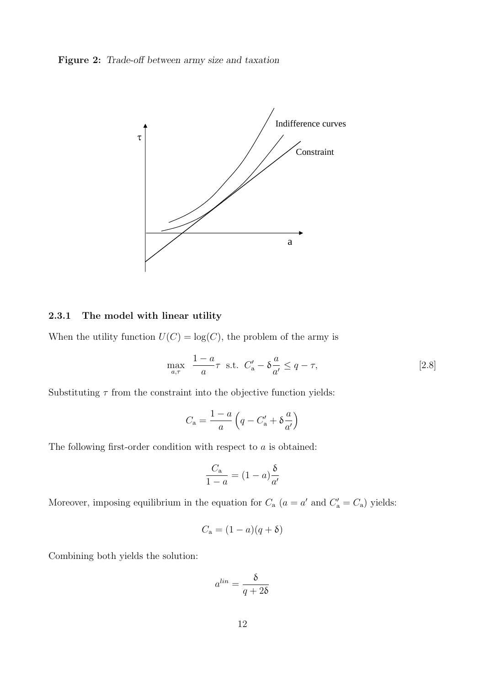<span id="page-13-0"></span>Figure 2: Trade-off between army size and taxation



### <span id="page-13-1"></span>2.3.1 The model with linear utility

When the utility function  $U(C) = \log(C)$ , the problem of the army is

$$
\max_{a,\tau} \quad \frac{1-a}{a}\tau \quad \text{s.t.} \quad C'_a - \delta \frac{a}{a'} \le q - \tau,
$$
\n
$$
\tag{2.8}
$$

Substituting  $\tau$  from the constraint into the objective function yields:

$$
C_{\rm a} = \frac{1-a}{a}\left(q - C_{\rm a}^\prime + \delta\frac{a}{a^\prime}\right)
$$

The following first-order condition with respect to  $a$  is obtained:

$$
\frac{C_{\rm a}}{1-a} = (1-a)\frac{\delta}{a'}
$$

Moreover, imposing equilibrium in the equation for  $C_a$   $(a = a'$  and  $C'_a = C_a$ ) yields:

$$
C_{\mathbf{a}} = (1 - a)(q + \delta)
$$

Combining both yields the solution:

$$
a^{lin}=\frac{\delta}{q+2\delta}
$$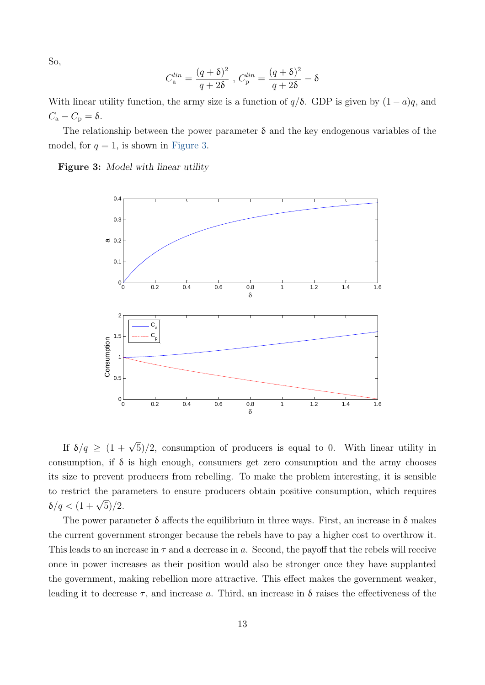So,

$$
C_{\rm a}^{lin}=\frac{(q+\delta)^2}{q+2\delta}\;,\, C_{\rm p}^{lin}=\frac{(q+\delta)^2}{q+2\delta}-\delta
$$

With linear utility function, the army size is a function of  $q/\delta$ . GDP is given by  $(1-a)q$ , and  $C_{\rm a} - C_{\rm p} = \delta.$ 

The relationship between the power parameter  $\delta$  and the key endogenous variables of the model, for  $q = 1$ , is shown in [Figure 3.](#page-14-0)

<span id="page-14-0"></span>Figure 3: Model with linear utility



If  $\delta/q \geq (1+\sqrt{5})/2$ , consumption of producers is equal to 0. With linear utility in consumption, if  $\delta$  is high enough, consumers get zero consumption and the army chooses its size to prevent producers from rebelling. To make the problem interesting, it is sensible to restrict the parameters to ensure producers obtain positive consumption, which requires  $δ/q < (1 + \sqrt{5})/2$ .

The power parameter  $\delta$  affects the equilibrium in three ways. First, an increase in  $\delta$  makes the current government stronger because the rebels have to pay a higher cost to overthrow it. This leads to an increase in  $\tau$  and a decrease in a. Second, the payoff that the rebels will receive once in power increases as their position would also be stronger once they have supplanted the government, making rebellion more attractive. This effect makes the government weaker, leading it to decrease  $\tau$ , and increase a. Third, an increase in  $\delta$  raises the effectiveness of the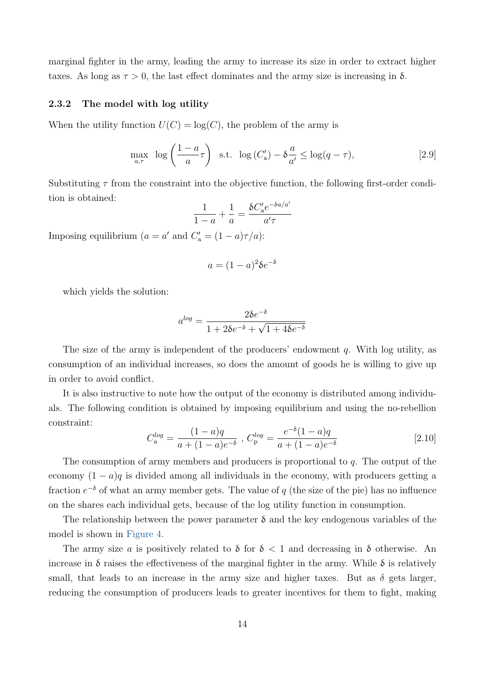marginal fighter in the army, leading the army to increase its size in order to extract higher taxes. As long as  $\tau > 0$ , the last effect dominates and the army size is increasing in  $\delta$ .

#### 2.3.2 The model with log utility

When the utility function  $U(C) = \log(C)$ , the problem of the army is

$$
\max_{a,\tau} \quad \log\left(\frac{1-a}{a}\tau\right) \quad \text{s.t.} \quad \log\left(\frac{C'_a}{a}\right) - \delta\frac{a}{a'} \le \log(q-\tau),\tag{2.9}
$$

Substituting  $\tau$  from the constraint into the objective function, the following first-order condition is obtained:

$$
\frac{1}{1-a} + \frac{1}{a} = \frac{\delta C_a' e^{-\delta a/a'}}{a'\tau}
$$

Imposing equilibrium  $(a = a'$  and  $C'_{a} = (1 - a)\tau/a$ :

$$
a = (1 - a)^2 \delta e^{-\delta}
$$

which yields the solution:

$$
a^{log} = \frac{2\delta e^{-\delta}}{1 + 2\delta e^{-\delta} + \sqrt{1 + 4\delta e^{-\delta}}}
$$

The size of the army is independent of the producers' endowment  $q$ . With log utility, as consumption of an individual increases, so does the amount of goods he is willing to give up in order to avoid conflict.

It is also instructive to note how the output of the economy is distributed among individuals. The following condition is obtained by imposing equilibrium and using the no-rebellion constraint:

<span id="page-15-0"></span>
$$
C_{\rm a}^{log} = \frac{(1-a)q}{a + (1-a)e^{-\delta}}, \ C_{\rm p}^{log} = \frac{e^{-\delta}(1-a)q}{a + (1-a)e^{-\delta}}
$$
 [2.10]

The consumption of army members and producers is proportional to q. The output of the economy  $(1 - a)q$  is divided among all individuals in the economy, with producers getting a fraction  $e^{-\delta}$  of what an army member gets. The value of q (the size of the pie) has no influence on the shares each individual gets, because of the log utility function in consumption.

The relationship between the power parameter  $\delta$  and the key endogenous variables of the model is shown in [Figure 4.](#page-16-0)

The army size a is positively related to  $\delta$  for  $\delta < 1$  and decreasing in  $\delta$  otherwise. An increase in  $\delta$  raises the effectiveness of the marginal fighter in the army. While  $\delta$  is relatively small, that leads to an increase in the army size and higher taxes. But as  $\delta$  gets larger, reducing the consumption of producers leads to greater incentives for them to fight, making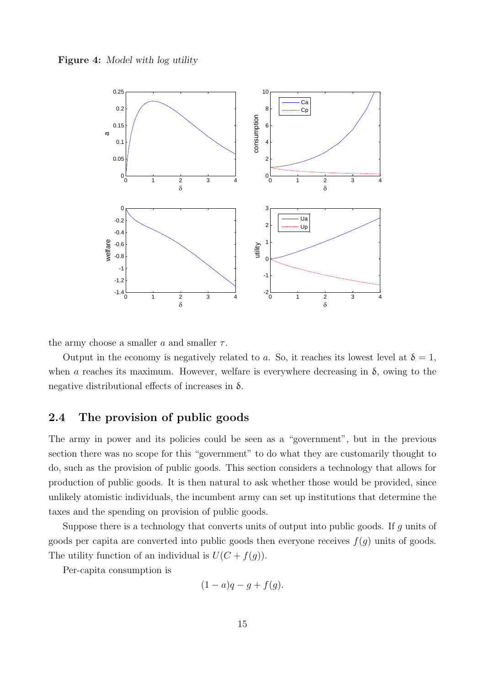<span id="page-16-0"></span>



the army choose a smaller  $a$  and smaller  $\tau$ .

Output in the economy is negatively related to a. So, it reaches its lowest level at  $\delta = 1$ , when a reaches its maximum. However, welfare is everywhere decreasing in  $\delta$ , owing to the negative distributional effects of increases in  $\delta$ .

## <span id="page-16-1"></span>2.4 The provision of public goods

The army in power and its policies could be seen as a "government", but in the previous section there was no scope for this "government" to do what they are customarily thought to do, such as the provision of public goods. This section considers a technology that allows for production of public goods. It is then natural to ask whether those would be provided, since unlikely atomistic individuals, the incumbent army can set up institutions that determine the taxes and the spending on provision of public goods.

Suppose there is a technology that converts units of output into public goods. If g units of goods per capita are converted into public goods then everyone receives  $f(g)$  units of goods. The utility function of an individual is  $U(C + f(g))$ .

Per-capita consumption is

$$
(1-a)q-g+f(g).
$$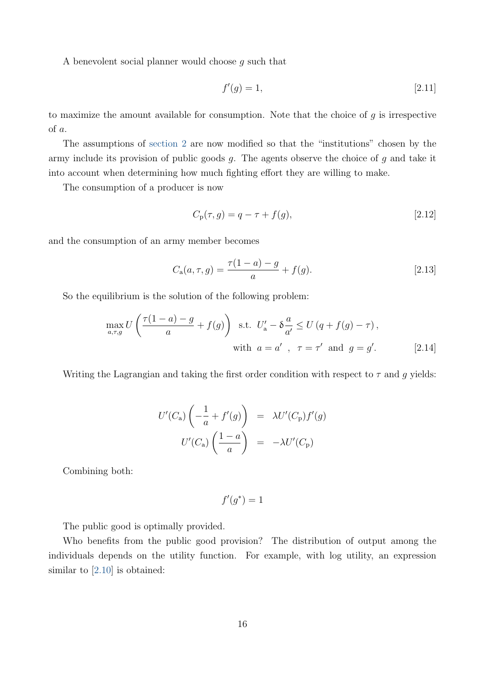A benevolent social planner would choose g such that

$$
f'(g) = 1,\tag{2.11}
$$

to maximize the amount available for consumption. Note that the choice of  $g$  is irrespective of a.

The assumptions of [section 2](#page-7-0) are now modified so that the "institutions" chosen by the army include its provision of public goods  $g$ . The agents observe the choice of  $g$  and take it into account when determining how much fighting effort they are willing to make.

The consumption of a producer is now

$$
C_{p}(\tau, g) = q - \tau + f(g), \qquad [2.12]
$$

and the consumption of an army member becomes

$$
C_{\mathbf{a}}(a,\tau,g) = \frac{\tau(1-a) - g}{a} + f(g). \tag{2.13}
$$

So the equilibrium is the solution of the following problem:

$$
\max_{a,\tau,g} U\left(\frac{\tau(1-a)-g}{a} + f(g)\right) \text{ s.t. } U'_a - \delta \frac{a}{a'} \le U\left(q + f(g) - \tau\right),
$$
\n
$$
\text{with } a = a', \ \tau = \tau' \text{ and } g = g'. \tag{2.14}
$$

Writing the Lagrangian and taking the first order condition with respect to  $\tau$  and g yields:

$$
U'(C_{\rm a})\left(-\frac{1}{a} + f'(g)\right) = \lambda U'(C_{\rm p})f'(g)
$$

$$
U'(C_{\rm a})\left(\frac{1-a}{a}\right) = -\lambda U'(C_{\rm p})
$$

Combining both:

$$
f'(g^*)=1
$$

The public good is optimally provided.

Who benefits from the public good provision? The distribution of output among the individuals depends on the utility function. For example, with log utility, an expression similar to [\[2.10\]](#page-15-0) is obtained: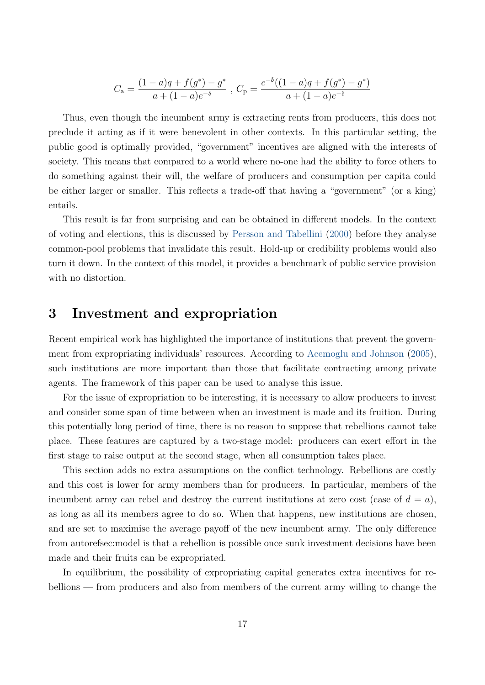<span id="page-18-1"></span>
$$
C_{\mathbf{a}} = \frac{(1-a)q + f(g^*) - g^*}{a + (1-a)e^{-\delta}} , C_{\mathbf{p}} = \frac{e^{-\delta}((1-a)q + f(g^*) - g^*)}{a + (1-a)e^{-\delta}}
$$

Thus, even though the incumbent army is extracting rents from producers, this does not preclude it acting as if it were benevolent in other contexts. In this particular setting, the public good is optimally provided, "government" incentives are aligned with the interests of society. This means that compared to a world where no-one had the ability to force others to do something against their will, the welfare of producers and consumption per capita could be either larger or smaller. This reflects a trade-off that having a "government" (or a king) entails.

This result is far from surprising and can be obtained in different models. In the context of voting and elections, this is discussed by [Persson and Tabellini](#page-31-3) [\(2000\)](#page-31-3) before they analyse common-pool problems that invalidate this result. Hold-up or credibility problems would also turn it down. In the context of this model, it provides a benchmark of public service provision with no distortion.

# <span id="page-18-0"></span>3 Investment and expropriation

Recent empirical work has highlighted the importance of institutions that prevent the government from expropriating individuals' resources. According to [Acemoglu and Johnson](#page-29-3) [\(2005\)](#page-29-3), such institutions are more important than those that facilitate contracting among private agents. The framework of this paper can be used to analyse this issue.

For the issue of expropriation to be interesting, it is necessary to allow producers to invest and consider some span of time between when an investment is made and its fruition. During this potentially long period of time, there is no reason to suppose that rebellions cannot take place. These features are captured by a two-stage model: producers can exert effort in the first stage to raise output at the second stage, when all consumption takes place.

This section adds no extra assumptions on the conflict technology. Rebellions are costly and this cost is lower for army members than for producers. In particular, members of the incumbent army can rebel and destroy the current institutions at zero cost (case of  $d = a$ ), as long as all its members agree to do so. When that happens, new institutions are chosen, and are set to maximise the average payoff of the new incumbent army. The only difference from autorefsec:model is that a rebellion is possible once sunk investment decisions have been made and their fruits can be expropriated.

In equilibrium, the possibility of expropriating capital generates extra incentives for rebellions — from producers and also from members of the current army willing to change the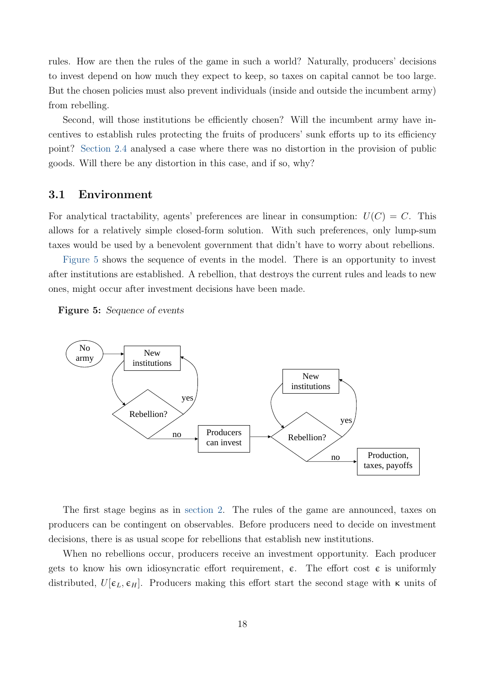rules. How are then the rules of the game in such a world? Naturally, producers' decisions to invest depend on how much they expect to keep, so taxes on capital cannot be too large. But the chosen policies must also prevent individuals (inside and outside the incumbent army) from rebelling.

Second, will those institutions be efficiently chosen? Will the incumbent army have incentives to establish rules protecting the fruits of producers' sunk efforts up to its efficiency point? [Section 2.4](#page-16-1) analysed a case where there was no distortion in the provision of public goods. Will there be any distortion in this case, and if so, why?

#### 3.1 Environment

For analytical tractability, agents' preferences are linear in consumption:  $U(C) = C$ . This allows for a relatively simple closed-form solution. With such preferences, only lump-sum taxes would be used by a benevolent government that didn't have to worry about rebellions.

[Figure 5](#page-19-0) shows the sequence of events in the model. There is an opportunity to invest after institutions are established. A rebellion, that destroys the current rules and leads to new ones, might occur after investment decisions have been made.

<span id="page-19-0"></span>Figure 5: Sequence of events



The first stage begins as in [section 2.](#page-7-0) The rules of the game are announced, taxes on producers can be contingent on observables. Before producers need to decide on investment decisions, there is as usual scope for rebellions that establish new institutions.

When no rebellions occur, producers receive an investment opportunity. Each producer gets to know his own idiosyncratic effort requirement,  $\epsilon$ . The effort cost  $\epsilon$  is uniformly distributed,  $U[\epsilon_L, \epsilon_H]$ . Producers making this effort start the second stage with  $\kappa$  units of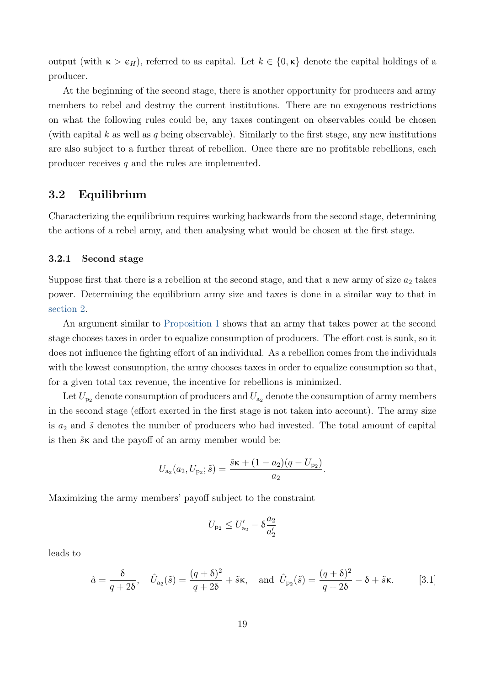output (with  $\kappa > \epsilon_H$ ), referred to as capital. Let  $k \in \{0, \kappa\}$  denote the capital holdings of a producer.

At the beginning of the second stage, there is another opportunity for producers and army members to rebel and destroy the current institutions. There are no exogenous restrictions on what the following rules could be, any taxes contingent on observables could be chosen (with capital k as well as q being observable). Similarly to the first stage, any new institutions are also subject to a further threat of rebellion. Once there are no profitable rebellions, each producer receives q and the rules are implemented.

### 3.2 Equilibrium

Characterizing the equilibrium requires working backwards from the second stage, determining the actions of a rebel army, and then analysing what would be chosen at the first stage.

#### 3.2.1 Second stage

Suppose first that there is a rebellion at the second stage, and that a new army of size  $a_2$  takes power. Determining the equilibrium army size and taxes is done in a similar way to that in [section 2.](#page-7-0)

An argument similar to [Proposition 1](#page-11-0) shows that an army that takes power at the second stage chooses taxes in order to equalize consumption of producers. The effort cost is sunk, so it does not influence the fighting effort of an individual. As a rebellion comes from the individuals with the lowest consumption, the army chooses taxes in order to equalize consumption so that, for a given total tax revenue, the incentive for rebellions is minimized.

Let  $U_{p_2}$  denote consumption of producers and  $U_{a_2}$  denote the consumption of army members in the second stage (effort exerted in the first stage is not taken into account). The army size is  $a_2$  and  $\tilde{s}$  denotes the number of producers who had invested. The total amount of capital is then  $\tilde{s}$  k and the payoff of an army member would be:

$$
U_{a_2}(a_2, U_{p_2}; \tilde{s}) = \frac{\tilde{s} \kappa + (1 - a_2)(q - U_{p_2})}{a_2}.
$$

Maximizing the army members' payoff subject to the constraint

$$
U_{\rm p_2} \leq U'_{\rm a_2} - \delta \frac{a_2}{a'_2}
$$

leads to

$$
\hat{a} = \frac{\delta}{q+2\delta}, \quad \hat{U}_{a_2}(\tilde{s}) = \frac{(q+\delta)^2}{q+2\delta} + \tilde{s}\kappa, \quad \text{and } \hat{U}_{p_2}(\tilde{s}) = \frac{(q+\delta)^2}{q+2\delta} - \delta + \tilde{s}\kappa. \tag{3.1}
$$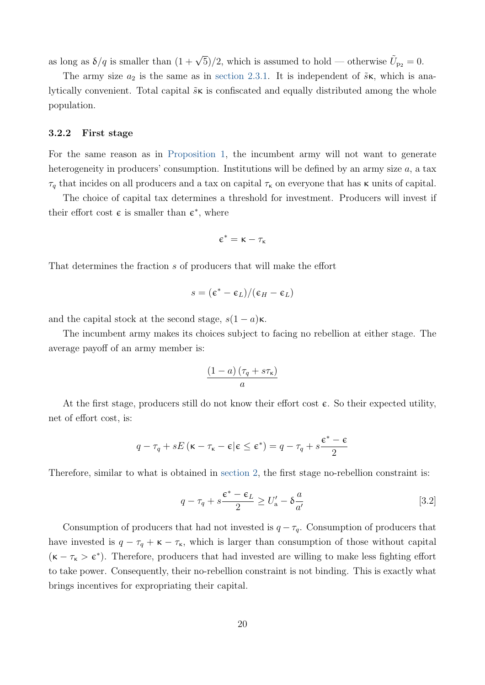as long as  $\delta/q$  is smaller than  $(1 + \sqrt{5})/2$ , which is assumed to hold — otherwise  $\tilde{U}_{p_2} = 0$ .

The army size  $a_2$  is the same as in [section 2.3.1.](#page-13-1) It is independent of  $\tilde{s}\kappa$ , which is analytically convenient. Total capital  $\tilde{s}$  is confiscated and equally distributed among the whole population.

#### 3.2.2 First stage

For the same reason as in [Proposition 1,](#page-11-0) the incumbent army will not want to generate heterogeneity in producers' consumption. Institutions will be defined by an army size a, a tax  $\tau_q$  that incides on all producers and a tax on capital  $\tau_\kappa$  on everyone that has  $\kappa$  units of capital.

The choice of capital tax determines a threshold for investment. Producers will invest if their effort cost  $\epsilon$  is smaller than  $\epsilon^*$ , where

$$
\varepsilon^*=\kappa-\tau_\kappa
$$

That determines the fraction s of producers that will make the effort

$$
s=(\varepsilon^*-\varepsilon_L)/(\varepsilon_H-\varepsilon_L)
$$

and the capital stock at the second stage,  $s(1 - a)\kappa$ .

The incumbent army makes its choices subject to facing no rebellion at either stage. The average payoff of an army member is:

<span id="page-21-0"></span>
$$
\frac{(1-a)\left(\tau_q + s\tau_{\kappa}\right)}{a}
$$

At the first stage, producers still do not know their effort cost  $\epsilon$ . So their expected utility, net of effort cost, is:

$$
q - \tau_q + sE(\kappa - \tau_{\kappa} - \varepsilon | \varepsilon \le \varepsilon^*) = q - \tau_q + s\frac{\varepsilon^* - \varepsilon}{2}
$$

Therefore, similar to what is obtained in [section 2,](#page-7-0) the first stage no-rebellion constraint is:

$$
q - \tau_q + s \frac{\epsilon^* - \epsilon_L}{2} \ge U'_a - \delta \frac{a}{a'}
$$
 [3.2]

Consumption of producers that had not invested is  $q - \tau_q$ . Consumption of producers that have invested is  $q - \tau_q + \kappa - \tau_{\kappa}$ , which is larger than consumption of those without capital  $(\kappa - \tau_{\kappa} > \varepsilon^*)$ . Therefore, producers that had invested are willing to make less fighting effort to take power. Consequently, their no-rebellion constraint is not binding. This is exactly what brings incentives for expropriating their capital.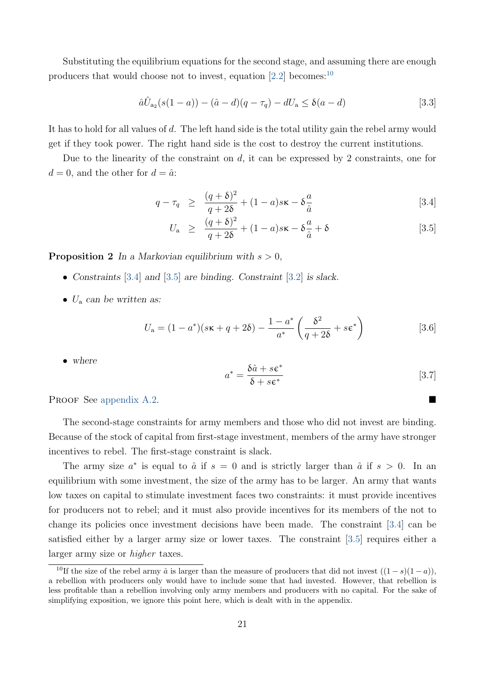Substituting the equilibrium equations for the second stage, and assuming there are enough producers that would choose not to invest, equation  $[2.2]$  becomes:<sup>[10](#page-22-0)</sup>

$$
\hat{a}\hat{U}_{a_2}(s(1-a)) - (\hat{a}-d)(q-\tau_q) - dU_a \le \delta(a-d)
$$
\n[3.3]

It has to hold for all values of d. The left hand side is the total utility gain the rebel army would get if they took power. The right hand side is the cost to destroy the current institutions.

Due to the linearity of the constraint on  $d$ , it can be expressed by 2 constraints, one for  $d = 0$ , and the other for  $d = \hat{a}$ :

<span id="page-22-1"></span>
$$
q - \tau_q \ge \frac{(q+\delta)^2}{q+2\delta} + (1-a)s\kappa - \delta\frac{a}{\hat{a}} \tag{3.4}
$$

$$
U_{\rm a} \ge \frac{(q+\delta)^2}{q+2\delta} + (1-a)s\kappa - \delta\frac{a}{\hat{a}} + \delta \tag{3.5}
$$

<span id="page-22-3"></span>**Proposition 2** In a Markovian equilibrium with  $s > 0$ ,

- Constraints [\[3.4\]](#page-22-1) and [\[3.5\]](#page-22-1) are binding. Constraint [\[3.2\]](#page-21-0) is slack.
- $U_a$  can be written as:

<span id="page-22-2"></span>
$$
U_{\mathbf{a}} = (1 - a^*)(s\kappa + q + 2\delta) - \frac{1 - a^*}{a^*} \left(\frac{\delta^2}{q + 2\delta} + s\epsilon^*\right)
$$
 [3.6]

• where

$$
a^* = \frac{\delta \hat{a} + s \epsilon^*}{\delta + s \epsilon^*}
$$
 [3.7]

PROOF See [appendix A.2.](#page-32-0)

The second-stage constraints for army members and those who did not invest are binding. Because of the stock of capital from first-stage investment, members of the army have stronger incentives to rebel. The first-stage constraint is slack.

The army size  $a^*$  is equal to  $\hat{a}$  if  $s = 0$  and is strictly larger than  $\hat{a}$  if  $s > 0$ . In an equilibrium with some investment, the size of the army has to be larger. An army that wants low taxes on capital to stimulate investment faces two constraints: it must provide incentives for producers not to rebel; and it must also provide incentives for its members of the not to change its policies once investment decisions have been made. The constraint [\[3.4\]](#page-22-1) can be satisfied either by a larger army size or lower taxes. The constraint [\[3.5\]](#page-22-1) requires either a larger army size or higher taxes.

<span id="page-22-0"></span><sup>&</sup>lt;sup>10</sup>If the size of the rebel army  $\hat{a}$  is larger than the measure of producers that did not invest  $((1-s)(1-a))$ . a rebellion with producers only would have to include some that had invested. However, that rebellion is less profitable than a rebellion involving only army members and producers with no capital. For the sake of simplifying exposition, we ignore this point here, which is dealt with in the appendix.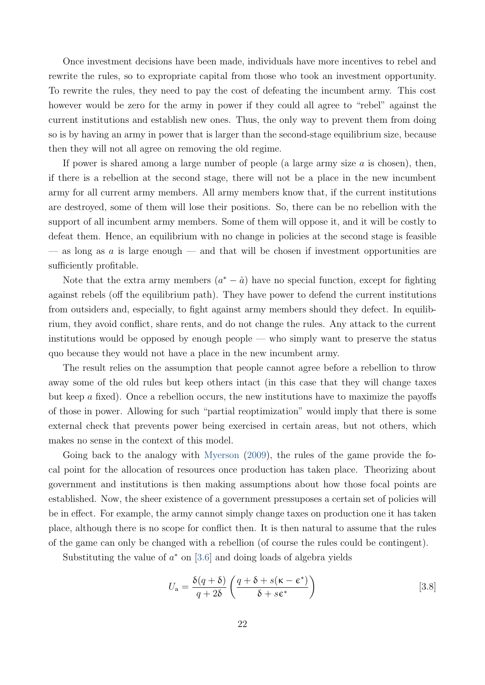<span id="page-23-1"></span>Once investment decisions have been made, individuals have more incentives to rebel and rewrite the rules, so to expropriate capital from those who took an investment opportunity. To rewrite the rules, they need to pay the cost of defeating the incumbent army. This cost however would be zero for the army in power if they could all agree to "rebel" against the current institutions and establish new ones. Thus, the only way to prevent them from doing so is by having an army in power that is larger than the second-stage equilibrium size, because then they will not all agree on removing the old regime.

If power is shared among a large number of people (a large army size  $a$  is chosen), then, if there is a rebellion at the second stage, there will not be a place in the new incumbent army for all current army members. All army members know that, if the current institutions are destroyed, some of them will lose their positions. So, there can be no rebellion with the support of all incumbent army members. Some of them will oppose it, and it will be costly to defeat them. Hence, an equilibrium with no change in policies at the second stage is feasible — as long as  $a$  is large enough — and that will be chosen if investment opportunities are sufficiently profitable.

Note that the extra army members  $(a^* - \hat{a})$  have no special function, except for fighting against rebels (off the equilibrium path). They have power to defend the current institutions from outsiders and, especially, to fight against army members should they defect. In equilibrium, they avoid conflict, share rents, and do not change the rules. Any attack to the current institutions would be opposed by enough people — who simply want to preserve the status quo because they would not have a place in the new incumbent army.

The result relies on the assumption that people cannot agree before a rebellion to throw away some of the old rules but keep others intact (in this case that they will change taxes but keep  $\alpha$  fixed). Once a rebellion occurs, the new institutions have to maximize the payoffs of those in power. Allowing for such "partial reoptimization" would imply that there is some external check that prevents power being exercised in certain areas, but not others, which makes no sense in the context of this model.

Going back to the analogy with [Myerson](#page-30-2) [\(2009\)](#page-30-2), the rules of the game provide the focal point for the allocation of resources once production has taken place. Theorizing about government and institutions is then making assumptions about how those focal points are established. Now, the sheer existence of a government pressuposes a certain set of policies will be in effect. For example, the army cannot simply change taxes on production one it has taken place, although there is no scope for conflict then. It is then natural to assume that the rules of the game can only be changed with a rebellion (of course the rules could be contingent).

Substituting the value of  $a^*$  on [\[3.6\]](#page-22-2) and doing loads of algebra yields

<span id="page-23-0"></span>
$$
U_{\rm a} = \frac{\delta(q+\delta)}{q+2\delta} \left( \frac{q+\delta+s(\kappa-\epsilon^*)}{\delta+s\epsilon^*} \right)
$$
 [3.8]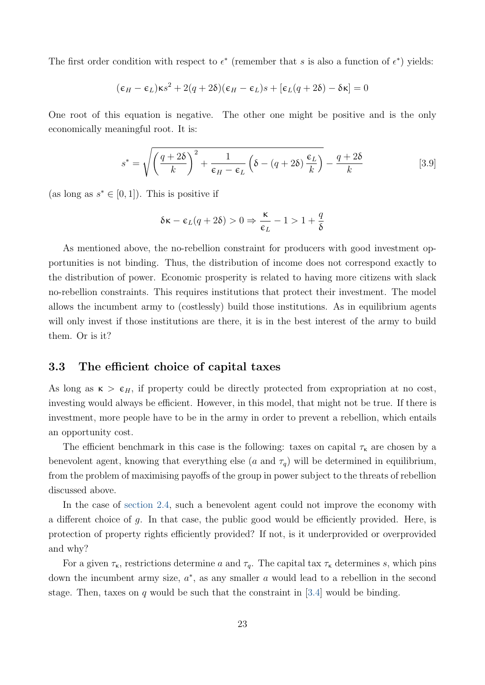The first order condition with respect to  $\epsilon^*$  (remember that s is also a function of  $\epsilon^*$ ) yields:

$$
(\varepsilon_H - \varepsilon_L)\kappa s^2 + 2(q + 2\delta)(\varepsilon_H - \varepsilon_L)s + [\varepsilon_L(q + 2\delta) - \delta\kappa] = 0
$$

One root of this equation is negative. The other one might be positive and is the only economically meaningful root. It is:

$$
s^* = \sqrt{\left(\frac{q+2\delta}{k}\right)^2 + \frac{1}{\epsilon_H - \epsilon_L} \left(\delta - (q+2\delta)\frac{\epsilon_L}{k}\right)} - \frac{q+2\delta}{k} \tag{3.9}
$$

(as long as  $s^* \in [0,1]$ ). This is positive if

$$
\delta \kappa - \varepsilon_L (q+2\delta) > 0 \Rightarrow \frac{\kappa}{\varepsilon_L} - 1 > 1 + \frac{q}{\delta}
$$

As mentioned above, the no-rebellion constraint for producers with good investment opportunities is not binding. Thus, the distribution of income does not correspond exactly to the distribution of power. Economic prosperity is related to having more citizens with slack no-rebellion constraints. This requires institutions that protect their investment. The model allows the incumbent army to (costlessly) build those institutions. As in equilibrium agents will only invest if those institutions are there, it is in the best interest of the army to build them. Or is it?

#### 3.3 The efficient choice of capital taxes

As long as  $\kappa > \epsilon_H$ , if property could be directly protected from expropriation at no cost, investing would always be efficient. However, in this model, that might not be true. If there is investment, more people have to be in the army in order to prevent a rebellion, which entails an opportunity cost.

The efficient benchmark in this case is the following: taxes on capital  $\tau_{\kappa}$  are chosen by a benevolent agent, knowing that everything else (a and  $\tau_q$ ) will be determined in equilibrium, from the problem of maximising payoffs of the group in power subject to the threats of rebellion discussed above.

In the case of [section 2.4,](#page-16-1) such a benevolent agent could not improve the economy with a different choice of g. In that case, the public good would be efficiently provided. Here, is protection of property rights efficiently provided? If not, is it underprovided or overprovided and why?

For a given  $\tau_{\kappa}$ , restrictions determine a and  $\tau_{q}$ . The capital tax  $\tau_{\kappa}$  determines s, which pins down the incumbent army size,  $a^*$ , as any smaller  $a$  would lead to a rebellion in the second stage. Then, taxes on q would be such that the constraint in [\[3.4\]](#page-22-1) would be binding.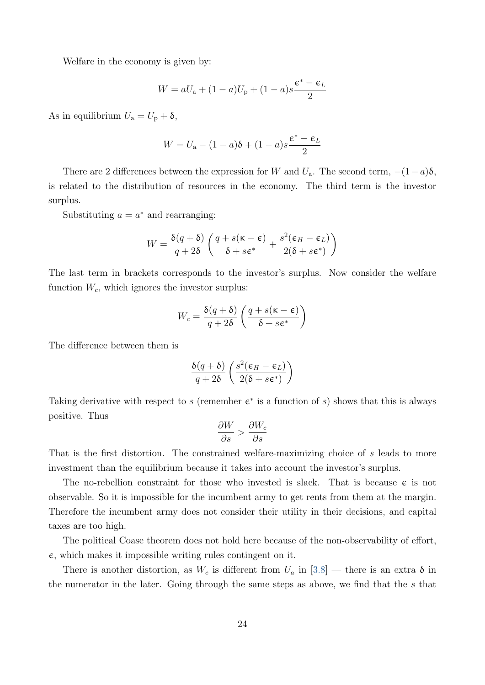Welfare in the economy is given by:

$$
W = aU_{\rm a} + (1 - a)U_{\rm p} + (1 - a)s\frac{\epsilon^* - \epsilon_L}{2}
$$

As in equilibrium  $U_a = U_p + \delta$ ,

$$
W = U_{\mathbf{a}} - (1 - a)\delta + (1 - a)s \frac{\epsilon^* - \epsilon_L}{2}
$$

There are 2 differences between the expression for W and  $U_a$ . The second term,  $-(1-a)\delta$ , is related to the distribution of resources in the economy. The third term is the investor surplus.

Substituting  $a = a^*$  and rearranging:

$$
W = \frac{\delta(q+\delta)}{q+2\delta} \left( \frac{q+s(\kappa-\epsilon)}{\delta+s\epsilon^*} + \frac{s^2(\epsilon_H-\epsilon_L)}{2(\delta+s\epsilon^*)} \right)
$$

The last term in brackets corresponds to the investor's surplus. Now consider the welfare function  $W_c$ , which ignores the investor surplus:

$$
W_c = \frac{\delta(q+\delta)}{q+2\delta} \left( \frac{q+s(\kappa-\epsilon)}{\delta+s\epsilon^*} \right)
$$

The difference between them is

$$
\frac{\delta(q+\delta)}{q+2\delta}\left(\frac{s^2(\epsilon_H-\epsilon_L)}{2(\delta+s\epsilon^*)}\right)
$$

Taking derivative with respect to s (remember  $\epsilon^*$  is a function of s) shows that this is always positive. Thus

$$
\frac{\partial W}{\partial s} > \frac{\partial W_c}{\partial s}
$$

That is the first distortion. The constrained welfare-maximizing choice of s leads to more investment than the equilibrium because it takes into account the investor's surplus.

The no-rebellion constraint for those who invested is slack. That is because  $\epsilon$  is not observable. So it is impossible for the incumbent army to get rents from them at the margin. Therefore the incumbent army does not consider their utility in their decisions, and capital taxes are too high.

The political Coase theorem does not hold here because of the non-observability of effort,  $\epsilon$ , which makes it impossible writing rules contingent on it.

There is another distortion, as  $W_c$  is different from  $U_a$  in [\[3.8\]](#page-23-0) — there is an extra  $\delta$  in the numerator in the later. Going through the same steps as above, we find that the s that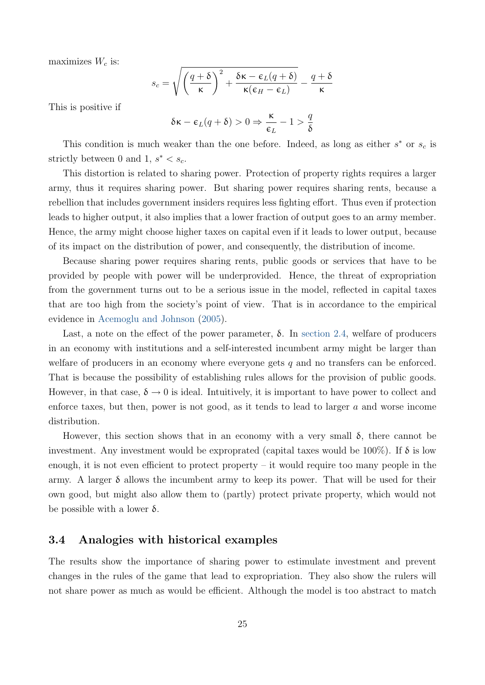<span id="page-26-0"></span>maximizes  $W_c$  is:

$$
s_c = \sqrt{\left(\frac{q+\delta}{\kappa}\right)^2 + \frac{\delta \kappa - \epsilon_L(q+\delta)}{\kappa(\epsilon_H - \epsilon_L)}} - \frac{q+\delta}{\kappa}
$$

This is positive if

$$
\delta \kappa - \varepsilon_L (q+\delta) > 0 \Rightarrow \frac{\kappa}{\varepsilon_L} - 1 > \frac{q}{\delta}
$$

This condition is much weaker than the one before. Indeed, as long as either  $s^*$  or  $s_c$  is strictly between 0 and 1,  $s^* < s_c$ .

This distortion is related to sharing power. Protection of property rights requires a larger army, thus it requires sharing power. But sharing power requires sharing rents, because a rebellion that includes government insiders requires less fighting effort. Thus even if protection leads to higher output, it also implies that a lower fraction of output goes to an army member. Hence, the army might choose higher taxes on capital even if it leads to lower output, because of its impact on the distribution of power, and consequently, the distribution of income.

Because sharing power requires sharing rents, public goods or services that have to be provided by people with power will be underprovided. Hence, the threat of expropriation from the government turns out to be a serious issue in the model, reflected in capital taxes that are too high from the society's point of view. That is in accordance to the empirical evidence in [Acemoglu and Johnson](#page-29-3) [\(2005\)](#page-29-3).

Last, a note on the effect of the power parameter,  $\delta$ . In [section 2.4,](#page-16-1) welfare of producers in an economy with institutions and a self-interested incumbent army might be larger than welfare of producers in an economy where everyone gets  $q$  and no transfers can be enforced. That is because the possibility of establishing rules allows for the provision of public goods. However, in that case,  $\delta \to 0$  is ideal. Intuitively, it is important to have power to collect and enforce taxes, but then, power is not good, as it tends to lead to larger a and worse income distribution.

However, this section shows that in an economy with a very small  $\delta$ , there cannot be investment. Any investment would be exproprated (capital taxes would be 100%). If  $\delta$  is low enough, it is not even efficient to protect property – it would require too many people in the army. A larger  $\delta$  allows the incumbent army to keep its power. That will be used for their own good, but might also allow them to (partly) protect private property, which would not be possible with a lower  $\delta$ .

### 3.4 Analogies with historical examples

The results show the importance of sharing power to estimulate investment and prevent changes in the rules of the game that lead to expropriation. They also show the rulers will not share power as much as would be efficient. Although the model is too abstract to match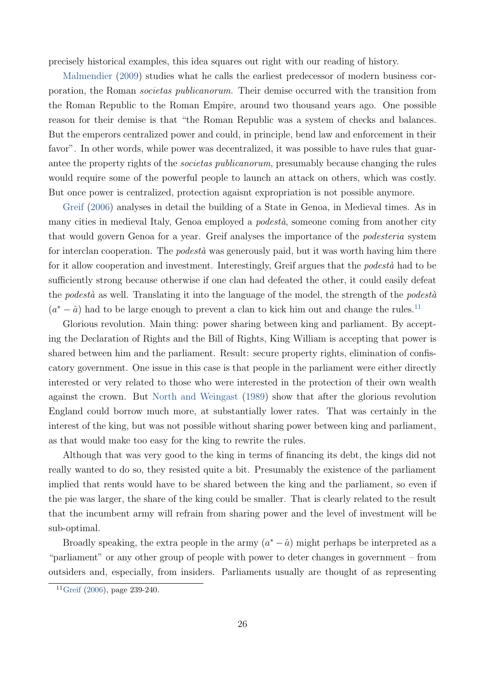<span id="page-27-1"></span>precisely historical examples, this idea squares out right with our reading of history.

[Malmendier](#page-30-13) [\(2009\)](#page-30-13) studies what he calls the earliest predecessor of modern business corporation, the Roman societas publicanorum. Their demise occurred with the transition from the Roman Republic to the Roman Empire, around two thousand years ago. One possible reason for their demise is that "the Roman Republic was a system of checks and balances. But the emperors centralized power and could, in principle, bend law and enforcement in their favor". In other words, while power was decentralized, it was possible to have rules that guarantee the property rights of the *societas publicanorum*, presumably because changing the rules would require some of the powerful people to launch an attack on others, which was costly. But once power is centralized, protection agaisnt expropriation is not possible anymore.

[Greif](#page-30-4) [\(2006\)](#page-30-4) analyses in detail the building of a State in Genoa, in Medieval times. As in many cities in medieval Italy, Genoa employed a *podestà*, someone coming from another city that would govern Genoa for a year. Greif analyses the importance of the podesteria system for interclan cooperation. The *podestà* was generously paid, but it was worth having him there for it allow cooperation and investment. Interestingly, Greif argues that the *podestà* had to be sufficiently strong because otherwise if one clan had defeated the other, it could easily defeat the podestà as well. Translating it into the language of the model, the strength of the podestà  $(a^* - \hat{a})$  had to be large enough to prevent a clan to kick him out and change the rules.<sup>[11](#page-27-0)</sup>

Glorious revolution. Main thing: power sharing between king and parliament. By accepting the Declaration of Rights and the Bill of Rights, King William is accepting that power is shared between him and the parliament. Result: secure property rights, elimination of confiscatory government. One issue in this case is that people in the parliament were either directly interested or very related to those who were interested in the protection of their own wealth against the crown. But [North and Weingast](#page-31-1) [\(1989\)](#page-31-1) show that after the glorious revolution England could borrow much more, at substantially lower rates. That was certainly in the interest of the king, but was not possible without sharing power between king and parliament, as that would make too easy for the king to rewrite the rules.

Although that was very good to the king in terms of financing its debt, the kings did not really wanted to do so, they resisted quite a bit. Presumably the existence of the parliament implied that rents would have to be shared between the king and the parliament, so even if the pie was larger, the share of the king could be smaller. That is clearly related to the result that the incumbent army will refrain from sharing power and the level of investment will be sub-optimal.

Broadly speaking, the extra people in the army  $(a^* - \hat{a})$  might perhaps be interpreted as a "parliament" or any other group of people with power to deter changes in government – from outsiders and, especially, from insiders. Parliaments usually are thought of as representing

<span id="page-27-0"></span> $^{11}$ [Greif](#page-30-4) [\(2006\)](#page-30-4), page 239-240.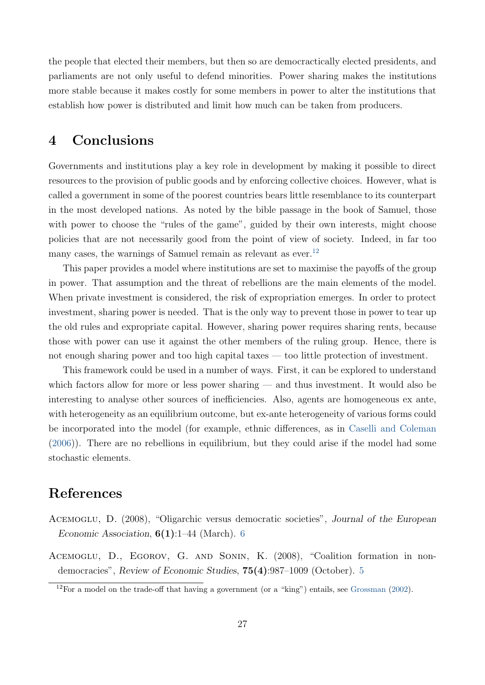<span id="page-28-4"></span>the people that elected their members, but then so are democractically elected presidents, and parliaments are not only useful to defend minorities. Power sharing makes the institutions more stable because it makes costly for some members in power to alter the institutions that establish how power is distributed and limit how much can be taken from producers.

# <span id="page-28-0"></span>4 Conclusions

Governments and institutions play a key role in development by making it possible to direct resources to the provision of public goods and by enforcing collective choices. However, what is called a government in some of the poorest countries bears little resemblance to its counterpart in the most developed nations. As noted by the bible passage in the book of Samuel, those with power to choose the "rules of the game", guided by their own interests, might choose policies that are not necessarily good from the point of view of society. Indeed, in far too many cases, the warnings of Samuel remain as relevant as ever.<sup>[12](#page-28-3)</sup>

This paper provides a model where institutions are set to maximise the payoffs of the group in power. That assumption and the threat of rebellions are the main elements of the model. When private investment is considered, the risk of expropriation emerges. In order to protect investment, sharing power is needed. That is the only way to prevent those in power to tear up the old rules and expropriate capital. However, sharing power requires sharing rents, because those with power can use it against the other members of the ruling group. Hence, there is not enough sharing power and too high capital taxes — too little protection of investment.

This framework could be used in a number of ways. First, it can be explored to understand which factors allow for more or less power sharing — and thus investment. It would also be interesting to analyse other sources of inefficiencies. Also, agents are homogeneous ex ante, with heterogeneity as an equilibrium outcome, but ex-ante heterogeneity of various forms could be incorporated into the model (for example, ethnic differences, as in [Caselli and Coleman](#page-29-13) [\(2006\)](#page-29-13)). There are no rebellions in equilibrium, but they could arise if the model had some stochastic elements.

# References

- <span id="page-28-2"></span>ACEMOGLU, D. (2008), "Oligarchic versus democratic societies", Journal of the European Economic Association,  $6(1)$  $6(1)$ :1–44 (March). 6
- <span id="page-28-1"></span>Acemoglu, D., Egorov, G. and Sonin, K. (2008), "Coalition formation in nondemocracies", Review of Economic Studies, 75(4):987–1009 (October). [5](#page-6-2)

<span id="page-28-3"></span> $12$ For a model on the trade-off that having a government (or a "king") entails, see [Grossman](#page-30-14) [\(2002\)](#page-30-14).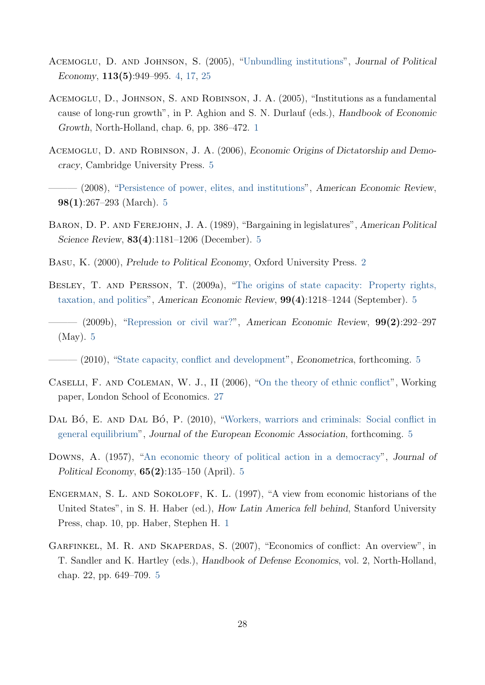- <span id="page-29-3"></span>Acemoglu, D. and Johnson, S. (2005), ["Unbundling institutions"](http://www.journals.uchicago.edu/doi/abs/10.1086/432166), Journal of Political Economy, 113(5):949–995. [4,](#page-5-1) [17,](#page-18-1) [25](#page-26-0)
- <span id="page-29-1"></span>Acemoglu, D., Johnson, S. and Robinson, J. A. (2005), "Institutions as a fundamental cause of long-run growth", in P. Aghion and S. N. Durlauf (eds.), Handbook of Economic Growth, North-Holland, chap. 6, pp. 386–472. [1](#page-2-1)
- <span id="page-29-5"></span>Acemoglu, D. and Robinson, J. A. (2006), Economic Origins of Dictatorship and Democracy, Cambridge University Press. [5](#page-6-2)
- <span id="page-29-6"></span>– (2008), ["Persistence of power, elites, and institutions"](http://www.atypon-link.com/AEAP/doi/abs/10.1257/aer.98.1.267), American Economic Review,  $98(1):267-293$  (March). [5](#page-6-2)
- <span id="page-29-11"></span>Baron, D. P. and Ferejohn, J. A. (1989), "Bargaining in legislatures", American Political Science Review, 83(4):1181–1206 (December). [5](#page-6-2)
- <span id="page-29-2"></span>Basu, K. (2000), Prelude to Political Economy, Oxford University Press. [2](#page-3-0)
- <span id="page-29-7"></span>Besley, T. and Persson, T. (2009a), ["The origins of state capacity: Property rights,](http://www.atypon-link.com/AEAP/doi/abs/10.1257/aer.99.4.1218) [taxation, and politics"](http://www.atypon-link.com/AEAP/doi/abs/10.1257/aer.99.4.1218), American Economic Review, 99(4):1218–1244 (September). [5](#page-6-2)
- <span id="page-29-8"></span> $-$  (2009b), ["Repression or civil war?"](http://www.atypon-link.com/AEAP/doi/abs/10.1257/aer.99.2.292), American Economic Review,  $99(2):292-297$ (May). [5](#page-6-2)
- <span id="page-29-9"></span> $-$  (2010), ["State capacity, conflict and development"](http://people.su.se/~tpers/espa_final_091015.pdf), *Econometrica*, forthcoming. [5](#page-6-2)
- <span id="page-29-13"></span>Caselli, F. and Coleman, W. J., II (2006), ["On the theory of ethnic conflict"](http://personal.lse.ac.uk/casellif/papers/ethnic.pdf), Working paper, London School of Economics. [27](#page-28-4)
- <span id="page-29-12"></span>DAL BÓ, E. AND DAL BÓ, P. (2010), ["Workers, warriors and criminals: Social conflict in](http://www.econ.brown.edu/fac/Pedro_Dal_Bo/workerswarriorscriminals.pdf) [general equilibrium"](http://www.econ.brown.edu/fac/Pedro_Dal_Bo/workerswarriorscriminals.pdf), Journal of the European Economic Association, forthcoming. [5](#page-6-2)
- <span id="page-29-4"></span>Downs, A. (1957), ["An economic theory of political action in a democracy"](http://www.jstor.org/stable/1827369), Journal of Political Economy,  $65(2):135-150$  $65(2):135-150$  $65(2):135-150$  (April). 5
- <span id="page-29-0"></span>ENGERMAN, S. L. AND SOKOLOFF, K. L. (1997), "A view from economic historians of the United States", in S. H. Haber (ed.), How Latin America fell behind, Stanford University Press, chap. 10, pp. Haber, Stephen H. [1](#page-2-1)
- <span id="page-29-10"></span>GARFINKEL, M. R. AND SKAPERDAS, S. (2007), "Economics of conflict: An overview", in T. Sandler and K. Hartley (eds.), Handbook of Defense Economics, vol. 2, North-Holland, chap. 22, pp. 649–709. [5](#page-6-2)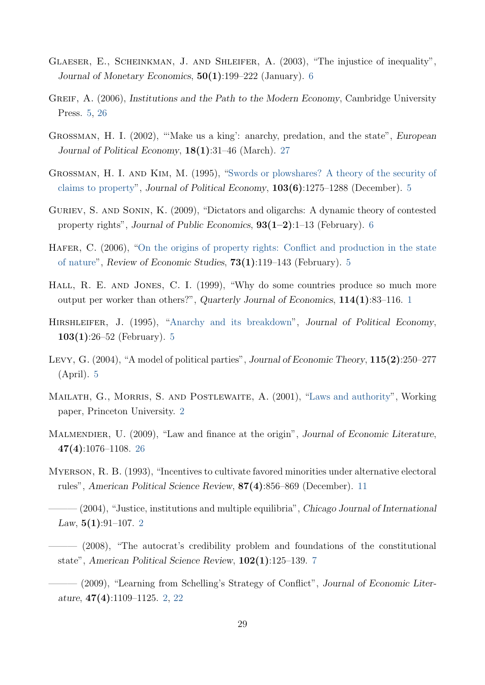- <span id="page-30-9"></span>Glaeser, E., Scheinkman, J. and Shleifer, A. (2003), "The injustice of inequality", Journal of Monetary Economics,  $50(1):199-222$  (January). [6](#page-7-1)
- <span id="page-30-4"></span>GREIF, A. (2006), Institutions and the Path to the Modern Economy, Cambridge University Press. [5,](#page-6-2) [26](#page-27-1)
- <span id="page-30-14"></span>Grossman, H. I. (2002), "'Make us a king': anarchy, predation, and the state", European Journal of Political Economy,  $18(1):31-46$  (March). [27](#page-28-4)
- <span id="page-30-6"></span>Grossman, H. I. and Kim, M. (1995), ["Swords or plowshares? A theory of the security of](http://www.jstor.org/stable/2138711) [claims to property"](http://www.jstor.org/stable/2138711), Journal of Political Economy, 103(6):1275–1288 (December). [5](#page-6-2)
- <span id="page-30-10"></span>Guriev, S. and Sonin, K. (2009), "Dictators and oligarchs: A dynamic theory of contested property rights", Journal of Public Economics,  $93(1-2)$ :1–13 (February). [6](#page-7-1)
- <span id="page-30-8"></span>HAFER, C. (2006), ["On the origins of property rights: Conflict and production in the state](http://dx.doi.org/10.1111/j.1467-937X.2006.00371.x) [of nature"](http://dx.doi.org/10.1111/j.1467-937X.2006.00371.x), Review of Economic Studies, 73(1):119–143 (February). [5](#page-6-2)
- <span id="page-30-0"></span>Hall, R. E. and Jones, C. I. (1999), "Why do some countries produce so much more output per worker than others?", Quarterly Journal of Economics, 114(1):83–116. [1](#page-2-1)
- <span id="page-30-7"></span>Hirshleifer, J. (1995), ["Anarchy and its breakdown"](http://www.jstor.org/stable/2138717), Journal of Political Economy,  $103(1):26-52$  $103(1):26-52$  $103(1):26-52$  (February). 5
- <span id="page-30-5"></span>Levy, G. (2004), "A model of political parties", Journal of Economic Theory, 115(2):250–277 (April). [5](#page-6-2)
- <span id="page-30-1"></span>MAILATH, G., MORRIS, S. AND POSTLEWAITE, A. (2001), ["Laws and authority"](http://www.princeton.edu/~smorris/pdfs/laws&authority.pdf), Working paper, Princeton University. [2](#page-3-0)
- <span id="page-30-13"></span>MALMENDIER, U. (2009), "Law and finance at the origin", Journal of Economic Literature, 47(4):1076–1108. [26](#page-27-1)
- <span id="page-30-12"></span>Myerson, R. B. (1993), "Incentives to cultivate favored minorities under alternative electoral rules", American Political Science Review, 87(4):856–869 (December). [11](#page-12-1)
- <span id="page-30-3"></span> $(2004)$ , "Justice, institutions and multiple equilibria", Chicago Journal of International Law,  $5(1):91-107$ . [2](#page-3-0)
- <span id="page-30-11"></span>- (2008), "The autocrat's credibility problem and foundations of the constitutional state", American Political Science Review, 102(1):125–139. [7](#page-8-4)
- <span id="page-30-2"></span>- (2009), "Learning from Schelling's Strategy of Conflict", Journal of Economic Literature, 47(4):1109–1125. [2,](#page-3-0) [22](#page-23-1)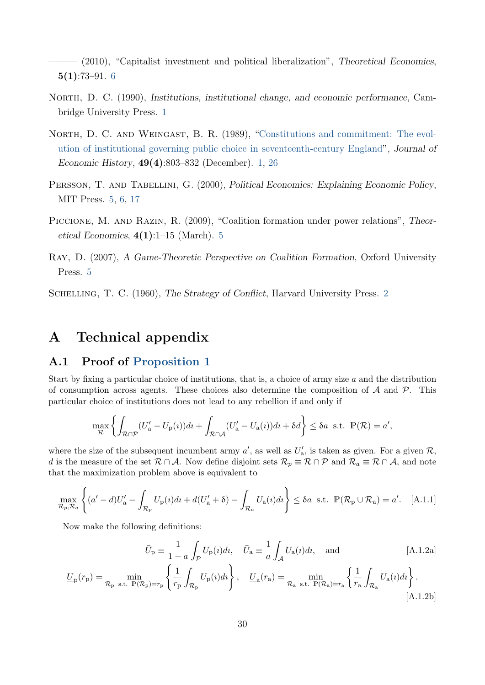<span id="page-31-6"></span> $(2010)$ , "Capitalist investment and political liberalization", Theoretical Economics,  $5(1):73-91.6$  $5(1):73-91.6$ 

- <span id="page-31-0"></span>NORTH, D. C. (1990), Institutions, institutional change, and economic performance, Cambridge University Press. [1](#page-2-1)
- <span id="page-31-1"></span>NORTH, D. C. AND WEINGAST, B. R. (1989), ["Constitutions and commitment: The evol](http://www.jstor.org/stable/2122739)[ution of institutional governing public choice in seventeenth-century England"](http://www.jstor.org/stable/2122739), Journal of Economic History, 49(4):803–832 (December). [1,](#page-2-1) [26](#page-27-1)
- <span id="page-31-3"></span>PERSSON, T. AND TABELLINI, G. (2000), Political Economics: Explaining Economic Policy, MIT Press. [5,](#page-6-2) [6,](#page-7-1) [17](#page-18-1)
- <span id="page-31-5"></span>PICCIONE, M. AND RAZIN, R. (2009), "Coalition formation under power relations", Theoretical Economics,  $4(1):1-15$  $4(1):1-15$  (March). 5
- <span id="page-31-4"></span>Ray, D. (2007), A Game-Theoretic Perspective on Coalition Formation, Oxford University Press. [5](#page-6-2)

<span id="page-31-2"></span>SCHELLING, T. C. (1960), The Strategy of Conflict, Harvard University Press. [2](#page-3-0)

# A Technical appendix

### <span id="page-31-7"></span>A.1 Proof of [Proposition 1](#page-11-0)

Start by fixing a particular choice of institutions, that is, a choice of army size  $a$  and the distribution of consumption across agents. These choices also determine the composition of  $A$  and  $P$ . This particular choice of institutions does not lead to any rebellion if and only if

$$
\max_{\mathcal{R}} \left\{ \int_{\mathcal{R} \cap \mathcal{P}} (U_{\mathbf{a}}' - U_{\mathbf{p}}(i)) dt + \int_{\mathcal{R} \cap \mathcal{A}} (U_{\mathbf{a}}' - U_{\mathbf{a}}(i)) dt + \delta d \right\} \leq \delta a \text{ s.t. } \mathbb{P}(\mathcal{R}) = a',
$$

where the size of the subsequent incumbent army  $a'$ , as well as  $U'_{a}$ , is taken as given. For a given  $\mathcal{R}$ , d is the measure of the set  $\mathcal{R} \cap \mathcal{A}$ . Now define disjoint sets  $\mathcal{R}_p \equiv \mathcal{R} \cap \mathcal{P}$  and  $\mathcal{R}_a \equiv \mathcal{R} \cap \mathcal{A}$ , and note that the maximization problem above is equivalent to

$$
\max_{\mathcal{R}_p, \mathcal{R}_a} \left\{ (a'-d)U'_a - \int_{\mathcal{R}_p} U_p(i)dt + d(U'_a + \delta) - \int_{\mathcal{R}_a} U_a(i)dt \right\} \le \delta a \text{ s.t. } \mathbb{P}(\mathcal{R}_p \cup \mathcal{R}_a) = a'. \quad \text{[A.1.1]}
$$

Now make the following definitions:

<span id="page-31-9"></span><span id="page-31-8"></span>
$$
\bar{U}_{\mathbf{p}} \equiv \frac{1}{1-a} \int_{\mathcal{P}} U_{\mathbf{p}}(i) di, \quad \bar{U}_{\mathbf{a}} \equiv \frac{1}{a} \int_{\mathcal{A}} U_{\mathbf{a}}(i) di, \text{ and} \qquad \qquad [\text{A.1.2a}]
$$

$$
\underline{U}_{\mathbf{p}}(r_{\mathbf{p}}) = \min_{\mathcal{R}_{\mathbf{p}}} \min_{\mathbf{s}.\mathbf{t}. \ \mathbb{P}(\mathcal{R}_{\mathbf{p}}) = r_{\mathbf{p}}} \left\{ \frac{1}{r_{\mathbf{p}}} \int_{\mathcal{R}_{\mathbf{p}}} U_{\mathbf{p}}(\iota) d\iota \right\}, \quad \underline{U}_{\mathbf{a}}(r_{\mathbf{a}}) = \min_{\mathcal{R}_{\mathbf{a}}} \min_{\mathbf{s}.\mathbf{t}. \ \mathbb{P}(\mathcal{R}_{\mathbf{a}}) = r_{\mathbf{a}}} \left\{ \frac{1}{r_{\mathbf{a}}} \int_{\mathcal{R}_{\mathbf{a}}} U_{\mathbf{a}}(\iota) d\iota \right\}.
$$
\n(A.1.2b)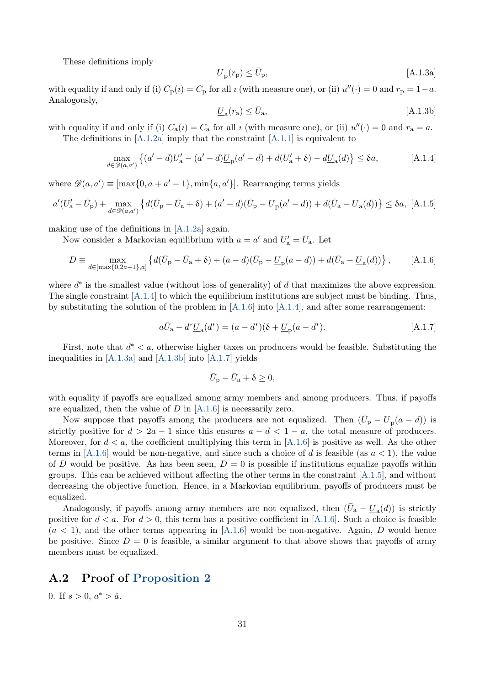<span id="page-32-4"></span>These definitions imply

<span id="page-32-3"></span>
$$
\underline{U}_{\rm p}(r_{\rm p}) \le \bar{U}_{\rm p},\tag{A.1.3a}
$$

with equality if and only if (i)  $C_p(i) = C_p$  for all *i* (with measure one), or (ii)  $u''(\cdot) = 0$  and  $r_p = 1 - a$ . Analogously,

<span id="page-32-6"></span><span id="page-32-2"></span><span id="page-32-1"></span>
$$
\underline{U}_{\mathbf{a}}(r_{\mathbf{a}}) \le \bar{U}_{\mathbf{a}},\tag{A.1.3b}
$$

with equality if and only if (i)  $C_a(i) = C_a$  for all *i* (with measure one), or (ii)  $u''(\cdot) = 0$  and  $r_a = a$ .

The definitions in  $[A.1.2a]$  imply that the constraint  $[A.1.1]$  is equivalent to

$$
\max_{d \in \mathcal{D}(a,a')} \left\{ (a'-d)U'_a - (a'-d)\underline{U}_p(a'-d) + d(U'_a + \delta) - d\underline{U}_a(d) \right\} \le \delta a, \tag{A.1.4}
$$

where  $\mathscr{D}(a, a') \equiv [\max\{0, a + a' - 1\}, \min\{a, a'\}]$ . Rearranging terms yields

$$
a'(U'_{\mathbf{a}} - \bar{U}_{\mathbf{p}}) + \max_{d \in \mathcal{D}(a, a')} \left\{ d(\bar{U}_{\mathbf{p}} - \bar{U}_{\mathbf{a}} + \delta) + (a' - d)(\bar{U}_{\mathbf{p}} - \underline{U}_{\mathbf{p}}(a' - d)) + d(\bar{U}_{\mathbf{a}} - \underline{U}_{\mathbf{a}}(d)) \right\} \le \delta a, \text{ [A.1.5]}
$$

making use of the definitions in [\[A.1.2a\]](#page-31-8) again.

Now consider a Markovian equilibrium with  $a = a'$  and  $U'_{a} = \bar{U}_{a}$ . Let

$$
D \equiv \max_{d \in [\max\{0, 2a-1\}, a]} \left\{ d(\bar{U}_{\mathbf{p}} - \bar{U}_{\mathbf{a}} + \delta) + (a - d)(\bar{U}_{\mathbf{p}} - \underline{U}_{\mathbf{p}}(a - d)) + d(\bar{U}_{\mathbf{a}} - \underline{U}_{\mathbf{a}}(d)) \right\},
$$
 [A.1.6]

where  $d^*$  is the smallest value (without loss of generality) of  $d$  that maximizes the above expression. The single constraint  $[A.1.4]$  to which the equilibrium institutions are subject must be binding. Thus, by substituting the solution of the problem in  $[A.1.6]$  into  $[A.1.4]$ , and after some rearrangement:

$$
a\bar{U}_a - d^* \underline{U}_a(d^*) = (a - d^*)(\delta + \underline{U}_p(a - d^*).
$$
 [A.1.7]

First, note that  $d^* < a$ , otherwise higher taxes on producers would be feasible. Substituting the inequalities in [\[A.1.3a\]](#page-32-3) and [\[A.1.3b\]](#page-32-4) into [\[A.1.7\]](#page-32-5) yields

<span id="page-32-5"></span>
$$
\bar{U}_{\mathbf{p}} - \bar{U}_{\mathbf{a}} + \delta \ge 0,
$$

with equality if payoffs are equalized among army members and among producers. Thus, if payoffs are equalized, then the value of  $D$  in [\[A.1.6\]](#page-32-2) is necessarily zero.

Now suppose that payoffs among the producers are not equalized. Then  $(\bar{U}_{\rm p} - \underline{U}_{\rm p}(a - d))$  is strictly positive for  $d > 2a - 1$  since this ensures  $a - d < 1 - a$ , the total measure of producers. Moreover, for  $d < a$ , the coefficient multiplying this term in [\[A.1.6\]](#page-32-2) is positive as well. As the other terms in [\[A.1.6\]](#page-32-2) would be non-negative, and since such a choice of d is feasible (as  $a < 1$ ), the value of D would be positive. As has been seen,  $D = 0$  is possible if institutions equalize payoffs within groups. This can be achieved without affecting the other terms in the constraint [\[A.1.5\]](#page-32-6), and without decreasing the objective function. Hence, in a Markovian equilibrium, payoffs of producers must be equalized.

Analogously, if payoffs among army members are not equalized, then  $(\bar{U}_a - \underline{U}_a(d))$  is strictly positive for  $d < a$ . For  $d > 0$ , this term has a positive coefficient in [\[A.1.6\]](#page-32-2). Such a choice is feasible  $(a < 1)$ , and the other terms appearing in [\[A.1.6\]](#page-32-2) would be non-negative. Again, D would hence be positive. Since  $D = 0$  is feasible, a similar argument to that above shows that payoffs of army members must be equalized.

### <span id="page-32-0"></span>A.2 Proof of [Proposition 2](#page-22-3)

0. If  $s > 0, a^* > \hat{a}$ .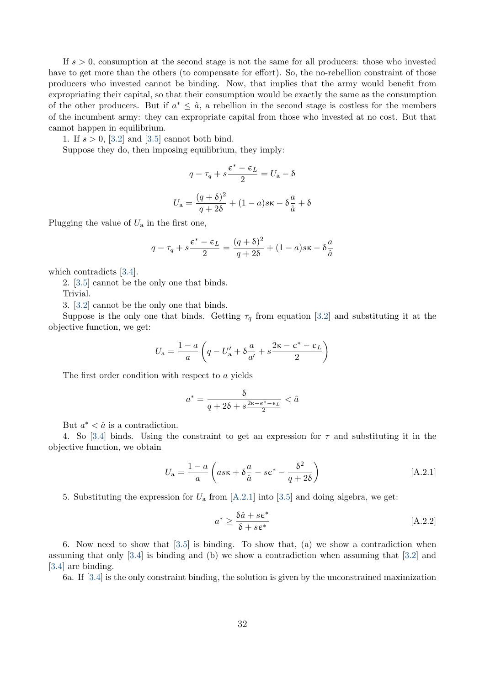If  $s > 0$ , consumption at the second stage is not the same for all producers: those who invested have to get more than the others (to compensate for effort). So, the no-rebellion constraint of those producers who invested cannot be binding. Now, that implies that the army would benefit from expropriating their capital, so that their consumption would be exactly the same as the consumption of the other producers. But if  $a^* \leq \hat{a}$ , a rebellion in the second stage is costless for the members of the incumbent army: they can expropriate capital from those who invested at no cost. But that cannot happen in equilibrium.

1. If  $s > 0$ , [\[3.2\]](#page-21-0) and [\[3.5\]](#page-22-1) cannot both bind.

Suppose they do, then imposing equilibrium, they imply:

$$
q - \tau_q + s \frac{\epsilon^* - \epsilon_L}{2} = U_a - \delta
$$

$$
U_a = \frac{(q+\delta)^2}{q+2\delta} + (1-a)s\kappa - \delta \frac{a}{\hat{a}} + \delta
$$

Plugging the value of  $U_a$  in the first one,

$$
q - \tau_q + s \frac{\varepsilon^* - \varepsilon_L}{2} = \frac{(q + \delta)^2}{q + 2\delta} + (1 - a)s\kappa - \delta \frac{a}{\hat{a}}
$$

which contradicts [\[3.4\]](#page-22-1).

2. [\[3.5\]](#page-22-1) cannot be the only one that binds.

Trivial.

3. [\[3.2\]](#page-21-0) cannot be the only one that binds.

Suppose is the only one that binds. Getting  $\tau_q$  from equation [\[3.2\]](#page-21-0) and substituting it at the objective function, we get:

$$
U_{\rm a} = \frac{1-a}{a} \left( q - U_{\rm a}' + \delta \frac{a}{a'} + s \frac{2 \kappa - \epsilon^* - \epsilon_L}{2} \right)
$$

The first order condition with respect to a yields

$$
a^* = \frac{\delta}{q + 2\delta + s\frac{2\kappa - \epsilon^* - \epsilon_L}{2}} < \hat{a}
$$

But  $a^* < \hat{a}$  is a contradiction.

4. So [\[3.4\]](#page-22-1) binds. Using the constraint to get an expression for  $\tau$  and substituting it in the objective function, we obtain

<span id="page-33-0"></span>
$$
U_{\rm a} = \frac{1-a}{a} \left( as \kappa + \delta \frac{a}{\hat{a}} - s \varepsilon^* - \frac{\delta^2}{q + 2\delta} \right)
$$
 [A.2.1]

5. Substituting the expression for  $U_a$  from [\[A.2.1\]](#page-33-0) into [\[3.5\]](#page-22-1) and doing algebra, we get:

<span id="page-33-1"></span>
$$
a^* \ge \frac{\delta \hat{a} + s \epsilon^*}{\delta + s \epsilon^*} \tag{A.2.2}
$$

6. Now need to show that [\[3.5\]](#page-22-1) is binding. To show that, (a) we show a contradiction when assuming that only [\[3.4\]](#page-22-1) is binding and (b) we show a contradiction when assuming that [\[3.2\]](#page-21-0) and [\[3.4\]](#page-22-1) are binding.

6a. If [\[3.4\]](#page-22-1) is the only constraint binding, the solution is given by the unconstrained maximization